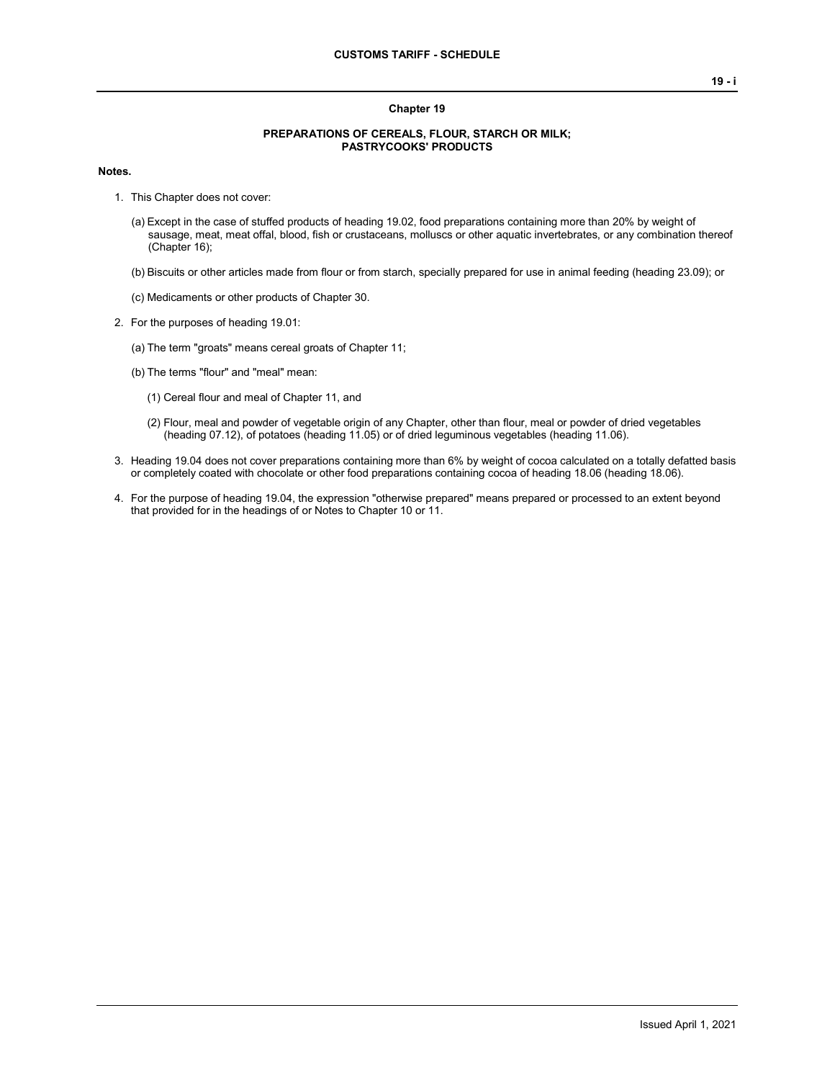#### **Chapter 19**

#### **PREPARATIONS OF CEREALS, FLOUR, STARCH OR MILK; PASTRYCOOKS' PRODUCTS**

#### **Notes.**

- 1. This Chapter does not cover:
	- (a) Except in the case of stuffed products of heading 19.02, food preparations containing more than 20% by weight of sausage, meat, meat offal, blood, fish or crustaceans, molluscs or other aquatic invertebrates, or any combination thereof (Chapter 16);
	- (b) Biscuits or other articles made from flour or from starch, specially prepared for use in animal feeding (heading 23.09); or
	- (c) Medicaments or other products of Chapter 30.
- 2. For the purposes of heading 19.01:
	- (a) The term "groats" means cereal groats of Chapter 11;
	- (b) The terms "flour" and "meal" mean:
		- (1) Cereal flour and meal of Chapter 11, and
		- (2) Flour, meal and powder of vegetable origin of any Chapter, other than flour, meal or powder of dried vegetables (heading 07.12), of potatoes (heading 11.05) or of dried leguminous vegetables (heading 11.06).
- 3. Heading 19.04 does not cover preparations containing more than 6% by weight of cocoa calculated on a totally defatted basis or completely coated with chocolate or other food preparations containing cocoa of heading 18.06 (heading 18.06).
- 4. For the purpose of heading 19.04, the expression "otherwise prepared" means prepared or processed to an extent beyond that provided for in the headings of or Notes to Chapter 10 or 11.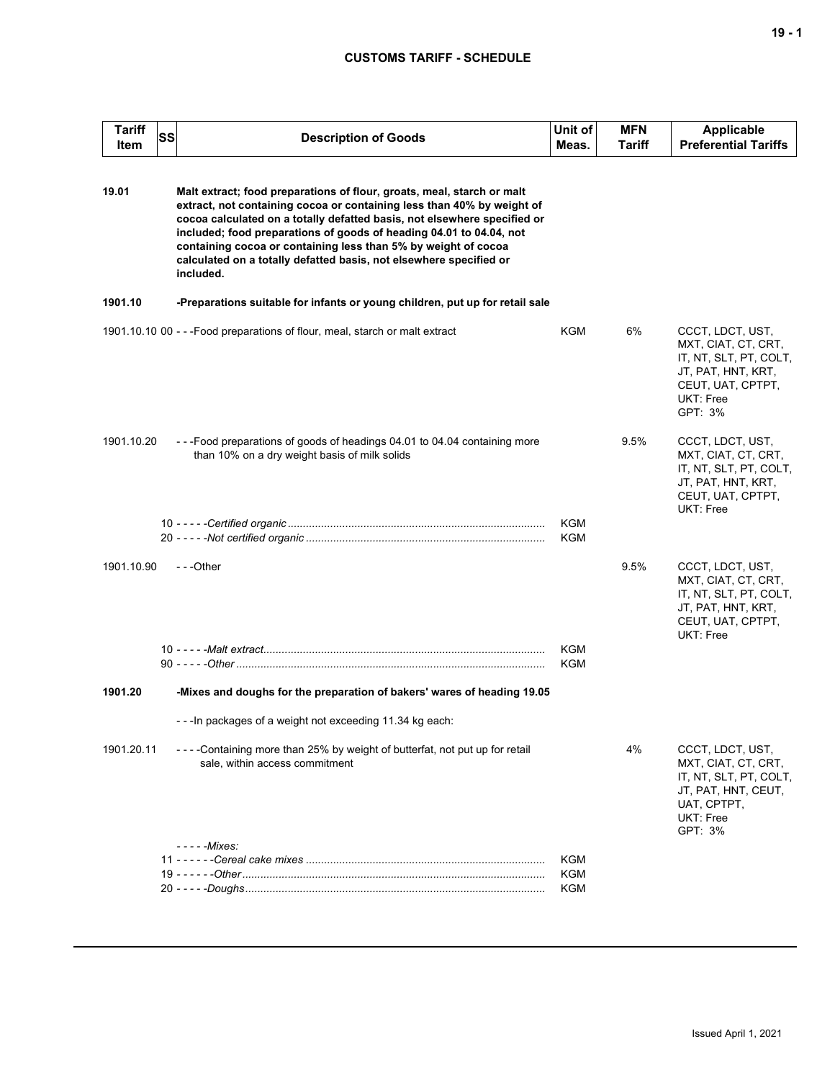| <b>Tariff</b><br>Item | SS | <b>Description of Goods</b>                                                                                                                                                                                                                                                                                                                                                                                                                              | Unit of<br>Meas. | <b>MFN</b><br>Tariff | <b>Applicable</b><br><b>Preferential Tariffs</b>                                                                                     |
|-----------------------|----|----------------------------------------------------------------------------------------------------------------------------------------------------------------------------------------------------------------------------------------------------------------------------------------------------------------------------------------------------------------------------------------------------------------------------------------------------------|------------------|----------------------|--------------------------------------------------------------------------------------------------------------------------------------|
| 19.01                 |    | Malt extract; food preparations of flour, groats, meal, starch or malt<br>extract, not containing cocoa or containing less than 40% by weight of<br>cocoa calculated on a totally defatted basis, not elsewhere specified or<br>included; food preparations of goods of heading 04.01 to 04.04, not<br>containing cocoa or containing less than 5% by weight of cocoa<br>calculated on a totally defatted basis, not elsewhere specified or<br>included. |                  |                      |                                                                                                                                      |
| 1901.10               |    | -Preparations suitable for infants or young children, put up for retail sale                                                                                                                                                                                                                                                                                                                                                                             |                  |                      |                                                                                                                                      |
|                       |    | 1901.10.10 00 - - - Food preparations of flour, meal, starch or malt extract                                                                                                                                                                                                                                                                                                                                                                             | KGM              | 6%                   | CCCT, LDCT, UST,<br>MXT, CIAT, CT, CRT,<br>IT, NT, SLT, PT, COLT,<br>JT, PAT, HNT, KRT,<br>CEUT, UAT, CPTPT,<br>UKT: Free<br>GPT: 3% |
| 1901.10.20            |    | ---Food preparations of goods of headings 04.01 to 04.04 containing more<br>than 10% on a dry weight basis of milk solids                                                                                                                                                                                                                                                                                                                                | <b>KGM</b>       | 9.5%                 | CCCT, LDCT, UST,<br>MXT, CIAT, CT, CRT,<br>IT, NT, SLT, PT, COLT,<br>JT, PAT, HNT, KRT,<br>CEUT, UAT, CPTPT,<br>UKT: Free            |
|                       |    |                                                                                                                                                                                                                                                                                                                                                                                                                                                          | KGM              |                      |                                                                                                                                      |
| 1901.10.90            |    | $- -$ Other                                                                                                                                                                                                                                                                                                                                                                                                                                              |                  | 9.5%                 | CCCT, LDCT, UST,<br>MXT, CIAT, CT, CRT,<br>IT, NT, SLT, PT, COLT,<br>JT, PAT, HNT, KRT,<br>CEUT, UAT, CPTPT,<br>UKT: Free            |
|                       |    |                                                                                                                                                                                                                                                                                                                                                                                                                                                          | KGM<br>KGM       |                      |                                                                                                                                      |
| 1901.20               |    | -Mixes and doughs for the preparation of bakers' wares of heading 19.05                                                                                                                                                                                                                                                                                                                                                                                  |                  |                      |                                                                                                                                      |
|                       |    | - - - In packages of a weight not exceeding 11.34 kg each:                                                                                                                                                                                                                                                                                                                                                                                               |                  |                      |                                                                                                                                      |
| 1901.20.11            |    | ----Containing more than 25% by weight of butterfat, not put up for retail<br>sale, within access commitment                                                                                                                                                                                                                                                                                                                                             |                  | 4%                   | CCCT, LDCT, UST,<br>MXT, CIAT, CT, CRT,<br>IT, NT, SLT, PT, COLT,<br>JT, PAT, HNT, CEUT,<br>UAT, CPTPT,<br>UKT: Free<br>GPT: 3%      |
|                       |    | $---Mixes:$                                                                                                                                                                                                                                                                                                                                                                                                                                              | <b>KGM</b>       |                      |                                                                                                                                      |
|                       |    |                                                                                                                                                                                                                                                                                                                                                                                                                                                          | <b>KGM</b>       |                      |                                                                                                                                      |
|                       |    |                                                                                                                                                                                                                                                                                                                                                                                                                                                          | KGM              |                      |                                                                                                                                      |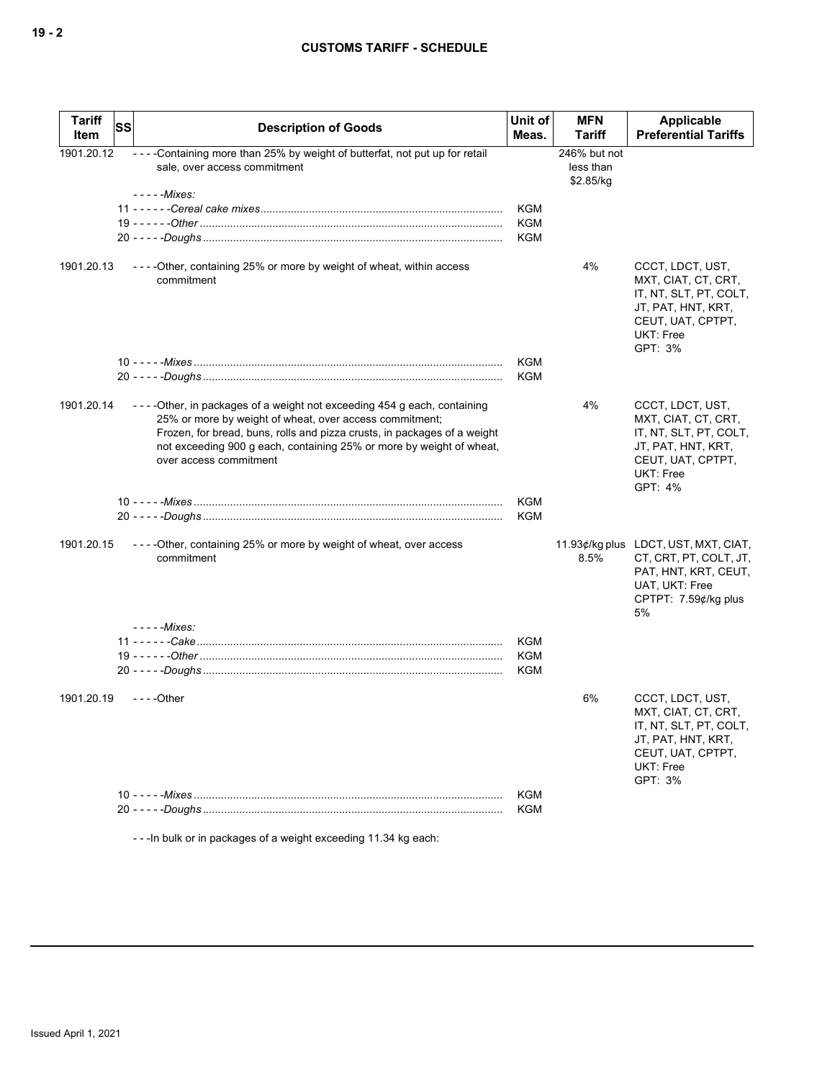| <b>Tariff</b><br>Item | <b>SS</b> | <b>Description of Goods</b>                                                                                                                                                                                                                                                                                      | Unit of<br>Meas.  | <b>MFN</b><br>Tariff                   | Applicable<br><b>Preferential Tariffs</b>                                                                                                   |
|-----------------------|-----------|------------------------------------------------------------------------------------------------------------------------------------------------------------------------------------------------------------------------------------------------------------------------------------------------------------------|-------------------|----------------------------------------|---------------------------------------------------------------------------------------------------------------------------------------------|
| 1901.20.12            |           | - - - - Containing more than 25% by weight of butterfat, not put up for retail<br>sale, over access commitment                                                                                                                                                                                                   |                   | 246% but not<br>less than<br>\$2.85/kg |                                                                                                                                             |
|                       |           | - - - - - Mixes:                                                                                                                                                                                                                                                                                                 |                   |                                        |                                                                                                                                             |
|                       |           |                                                                                                                                                                                                                                                                                                                  | <b>KGM</b>        |                                        |                                                                                                                                             |
|                       |           |                                                                                                                                                                                                                                                                                                                  | KGM               |                                        |                                                                                                                                             |
|                       |           |                                                                                                                                                                                                                                                                                                                  | <b>KGM</b>        |                                        |                                                                                                                                             |
| 1901.20.13            |           | ----Other, containing 25% or more by weight of wheat, within access<br>commitment                                                                                                                                                                                                                                |                   | 4%                                     | CCCT, LDCT, UST,<br>MXT, CIAT, CT, CRT,<br>IT, NT, SLT, PT, COLT,<br>JT, PAT, HNT, KRT,<br>CEUT, UAT, CPTPT,<br><b>UKT: Free</b><br>GPT: 3% |
|                       |           |                                                                                                                                                                                                                                                                                                                  | KGM<br><b>KGM</b> |                                        |                                                                                                                                             |
| 1901.20.14            |           | ----Other, in packages of a weight not exceeding 454 g each, containing<br>25% or more by weight of wheat, over access commitment;<br>Frozen, for bread, buns, rolls and pizza crusts, in packages of a weight<br>not exceeding 900 g each, containing 25% or more by weight of wheat,<br>over access commitment |                   | 4%                                     | CCCT, LDCT, UST,<br>MXT, CIAT, CT, CRT,<br>IT, NT, SLT, PT, COLT,<br>JT, PAT, HNT, KRT,<br>CEUT, UAT, CPTPT,<br><b>UKT: Free</b><br>GPT: 4% |
|                       |           |                                                                                                                                                                                                                                                                                                                  | KGM               |                                        |                                                                                                                                             |
|                       |           |                                                                                                                                                                                                                                                                                                                  | <b>KGM</b>        |                                        |                                                                                                                                             |
| 1901.20.15            |           | ----Other, containing 25% or more by weight of wheat, over access<br>commitment                                                                                                                                                                                                                                  |                   | 8.5%                                   | 11.93¢/kg plus LDCT, UST, MXT, CIAT,<br>CT, CRT, PT, COLT, JT,<br>PAT, HNT, KRT, CEUT,<br>UAT, UKT: Free<br>CPTPT: 7.59¢/kg plus<br>5%      |
|                       |           | - - - - - Mixes:                                                                                                                                                                                                                                                                                                 |                   |                                        |                                                                                                                                             |
|                       |           |                                                                                                                                                                                                                                                                                                                  | KGM               |                                        |                                                                                                                                             |
|                       |           |                                                                                                                                                                                                                                                                                                                  | KGM<br>KGM        |                                        |                                                                                                                                             |
| 1901.20.19            |           | - - - - Other                                                                                                                                                                                                                                                                                                    |                   | 6%                                     | CCCT, LDCT, UST,<br>MXT, CIAT, CT, CRT,<br>IT, NT, SLT, PT, COLT,<br>JT, PAT, HNT, KRT,<br>CEUT, UAT, CPTPT,<br><b>UKT: Free</b><br>GPT: 3% |
|                       |           |                                                                                                                                                                                                                                                                                                                  | <b>KGM</b>        |                                        |                                                                                                                                             |
|                       |           |                                                                                                                                                                                                                                                                                                                  | <b>KGM</b>        |                                        |                                                                                                                                             |

- - -In bulk or in packages of a weight exceeding 11.34 kg each: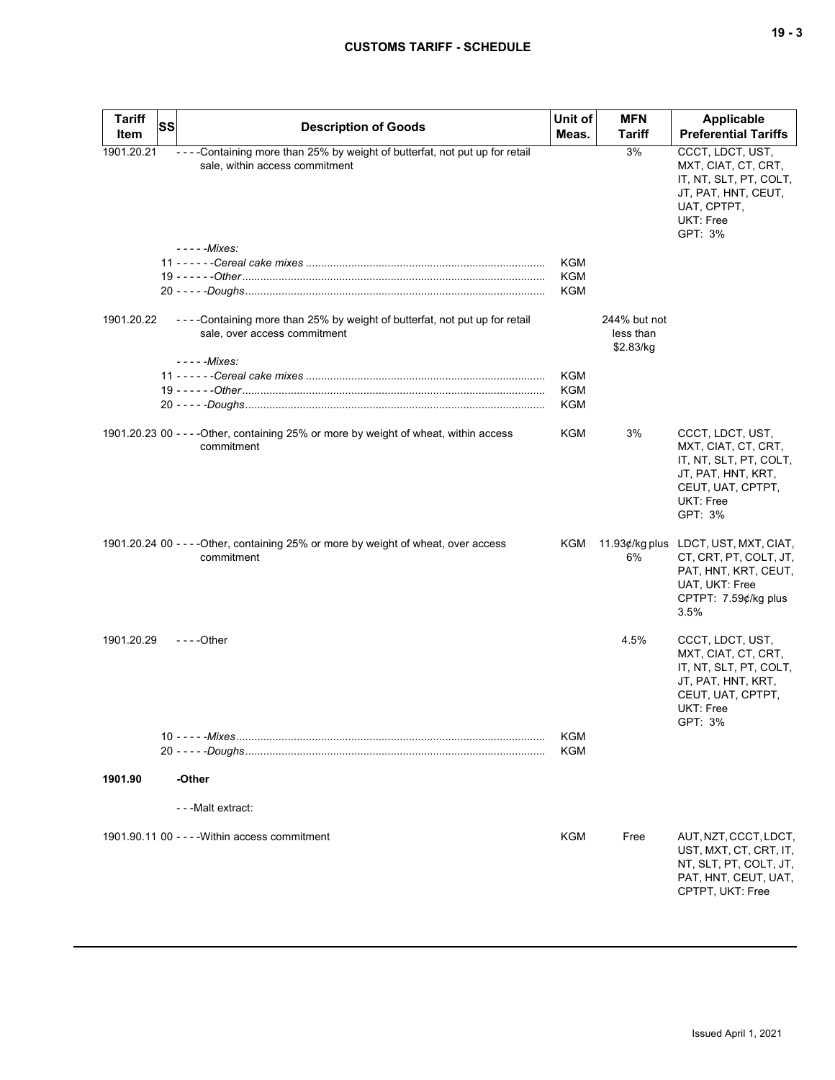| <b>Tariff</b><br>Item | SS | <b>Description of Goods</b>                                                                                      | Unit of<br>Meas.  | <b>MFN</b><br><b>Tariff</b>            | Applicable<br><b>Preferential Tariffs</b>                                                                                                    |
|-----------------------|----|------------------------------------------------------------------------------------------------------------------|-------------------|----------------------------------------|----------------------------------------------------------------------------------------------------------------------------------------------|
| 1901.20.21            |    | - - - - Containing more than 25% by weight of butterfat, not put up for retail<br>sale, within access commitment |                   | 3%                                     | CCCT, LDCT, UST,<br>MXT, CIAT, CT, CRT,<br>IT, NT, SLT, PT, COLT,<br>JT, PAT, HNT, CEUT,<br>UAT, CPTPT,<br>UKT: Free<br>GPT: 3%              |
|                       |    | - - - - - Mixes:                                                                                                 |                   |                                        |                                                                                                                                              |
|                       |    |                                                                                                                  | KGM<br>KGM        |                                        |                                                                                                                                              |
|                       |    |                                                                                                                  | KGM               |                                        |                                                                                                                                              |
| 1901.20.22            |    | - - - - Containing more than 25% by weight of butterfat, not put up for retail<br>sale, over access commitment   |                   | 244% but not<br>less than<br>\$2.83/kg |                                                                                                                                              |
|                       |    | - - - - - Mixes:                                                                                                 |                   |                                        |                                                                                                                                              |
|                       |    |                                                                                                                  | KGM<br>KGM        |                                        |                                                                                                                                              |
|                       |    |                                                                                                                  | KGM               |                                        |                                                                                                                                              |
|                       |    | 1901.20.23 00 - - - - Other, containing 25% or more by weight of wheat, within access<br>commitment              | KGM               | 3%                                     | CCCT, LDCT, UST,<br>MXT, CIAT, CT, CRT,<br>IT, NT, SLT, PT, COLT,<br>JT, PAT, HNT, KRT,<br>CEUT, UAT, CPTPT,<br>UKT: Free<br>GPT: 3%         |
|                       |    | 1901.20.24 00 - - - - Other, containing 25% or more by weight of wheat, over access<br>commitment                |                   | 6%                                     | KGM 11.93¢/kg plus LDCT, UST, MXT, CIAT,<br>CT, CRT, PT, COLT, JT,<br>PAT, HNT, KRT, CEUT,<br>UAT, UKT: Free<br>CPTPT: 7.59¢/kg plus<br>3.5% |
| 1901.20.29            |    | $--$ Other                                                                                                       |                   | 4.5%                                   | CCCT, LDCT, UST,<br>MXT, CIAT, CT, CRT,<br>IT, NT, SLT, PT, COLT,<br>JT, PAT, HNT, KRT,<br>CEUT, UAT, CPTPT,<br>UKT: Free<br>GPT: 3%         |
|                       |    |                                                                                                                  | KGM<br><b>KGM</b> |                                        |                                                                                                                                              |
| 1901.90               |    | -Other                                                                                                           |                   |                                        |                                                                                                                                              |
|                       |    | - - - Malt extract:                                                                                              |                   |                                        |                                                                                                                                              |
|                       |    | 1901.90.11 00 - - - - Within access commitment                                                                   | KGM               | Free                                   | AUT, NZT, CCCT, LDCT,<br>UST, MXT, CT, CRT, IT,<br>NT, SLT, PT, COLT, JT,<br>PAT, HNT, CEUT, UAT,<br>CPTPT, UKT: Free                        |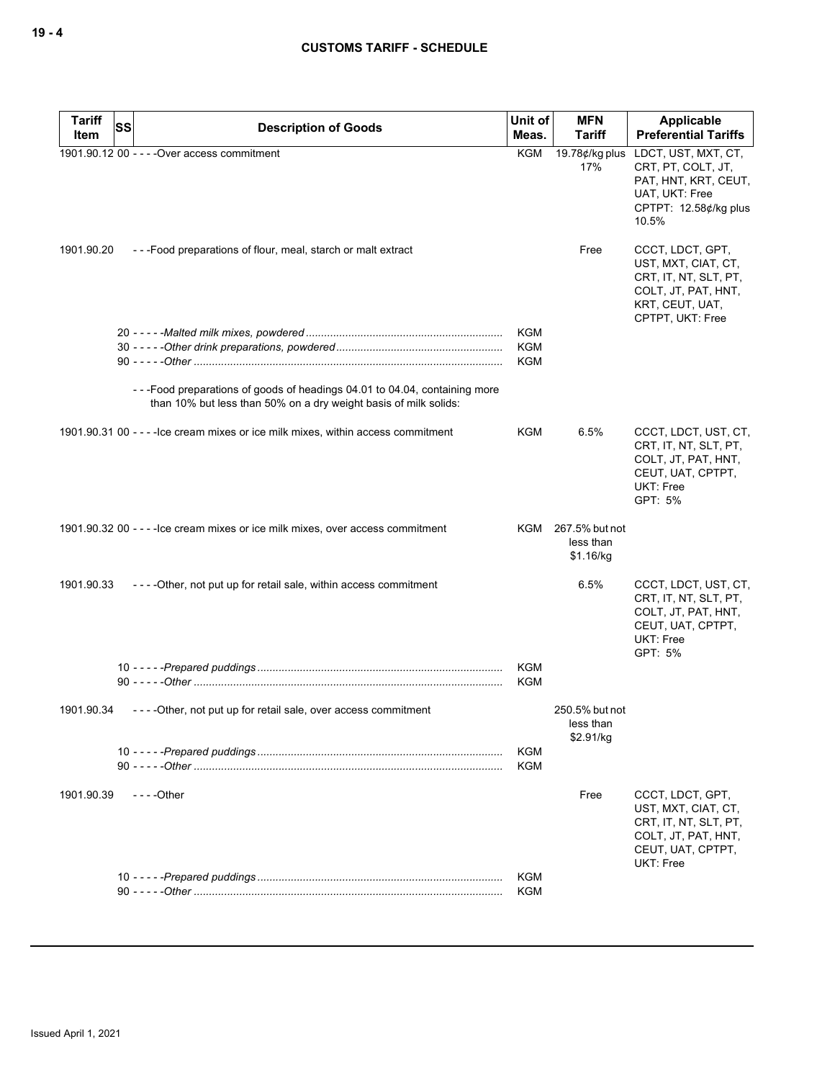| 1901.90.12 00 - - - - Over access commitment<br>KGM<br>19.78¢/kg plus<br>LDCT, UST, MXT, CT,<br>17%<br>CRT, PT, COLT, JT,<br>PAT, HNT, KRT, CEUT,<br>UAT, UKT: Free<br>CPTPT: 12.58¢/kg plus<br>10.5%<br>1901.90.20<br>---Food preparations of flour, meal, starch or malt extract<br>Free<br>CCCT, LDCT, GPT,<br>UST, MXT, CIAT, CT,<br>CRT, IT, NT, SLT, PT,<br>COLT, JT, PAT, HNT,<br>KRT, CEUT, UAT,<br>CPTPT, UKT: Free<br><b>KGM</b><br><b>KGM</b><br><b>KGM</b><br>--- Food preparations of goods of headings 04.01 to 04.04, containing more<br>than 10% but less than 50% on a dry weight basis of milk solids:<br>1901.90.31 00 - - - - lce cream mixes or ice milk mixes, within access commitment<br>KGM<br>6.5%<br>CCCT, LDCT, UST, CT,<br>CRT, IT, NT, SLT, PT,<br>COLT, JT, PAT, HNT,<br>CEUT, UAT, CPTPT,<br>UKT: Free<br>GPT: 5%<br>1901.90.32 00 - - - - lce cream mixes or ice milk mixes, over access commitment<br>KGM 267.5% but not<br>less than<br>\$1.16/kg<br>1901.90.33<br>6.5%<br>----Other, not put up for retail sale, within access commitment<br>CCCT, LDCT, UST, CT,<br>CRT, IT, NT, SLT, PT,<br>COLT, JT, PAT, HNT,<br>CEUT, UAT, CPTPT,<br><b>UKT: Free</b><br>GPT: 5%<br><b>KGM</b><br><b>KGM</b><br>----Other, not put up for retail sale, over access commitment<br>250.5% but not<br>1901.90.34<br>less than<br>\$2.91/kg<br><b>KGM</b><br><b>KGM</b><br>1901.90.39<br>$--$ Other<br>Free<br>CCCT, LDCT, GPT,<br>UST, MXT, CIAT, CT,<br>CRT, IT, NT, SLT, PT,<br>COLT, JT, PAT, HNT,<br>CEUT, UAT, CPTPT,<br><b>UKT: Free</b><br><b>KGM</b><br><b>KGM</b> | <b>Tariff</b><br>Item | SS | <b>Description of Goods</b> | Unit of<br>Meas. | <b>MFN</b><br><b>Tariff</b> | Applicable<br><b>Preferential Tariffs</b> |
|--------------------------------------------------------------------------------------------------------------------------------------------------------------------------------------------------------------------------------------------------------------------------------------------------------------------------------------------------------------------------------------------------------------------------------------------------------------------------------------------------------------------------------------------------------------------------------------------------------------------------------------------------------------------------------------------------------------------------------------------------------------------------------------------------------------------------------------------------------------------------------------------------------------------------------------------------------------------------------------------------------------------------------------------------------------------------------------------------------------------------------------------------------------------------------------------------------------------------------------------------------------------------------------------------------------------------------------------------------------------------------------------------------------------------------------------------------------------------------------------------------------------------------------------------------------------------------------------------|-----------------------|----|-----------------------------|------------------|-----------------------------|-------------------------------------------|
|                                                                                                                                                                                                                                                                                                                                                                                                                                                                                                                                                                                                                                                                                                                                                                                                                                                                                                                                                                                                                                                                                                                                                                                                                                                                                                                                                                                                                                                                                                                                                                                                  |                       |    |                             |                  |                             |                                           |
|                                                                                                                                                                                                                                                                                                                                                                                                                                                                                                                                                                                                                                                                                                                                                                                                                                                                                                                                                                                                                                                                                                                                                                                                                                                                                                                                                                                                                                                                                                                                                                                                  |                       |    |                             |                  |                             |                                           |
|                                                                                                                                                                                                                                                                                                                                                                                                                                                                                                                                                                                                                                                                                                                                                                                                                                                                                                                                                                                                                                                                                                                                                                                                                                                                                                                                                                                                                                                                                                                                                                                                  |                       |    |                             |                  |                             |                                           |
|                                                                                                                                                                                                                                                                                                                                                                                                                                                                                                                                                                                                                                                                                                                                                                                                                                                                                                                                                                                                                                                                                                                                                                                                                                                                                                                                                                                                                                                                                                                                                                                                  |                       |    |                             |                  |                             |                                           |
|                                                                                                                                                                                                                                                                                                                                                                                                                                                                                                                                                                                                                                                                                                                                                                                                                                                                                                                                                                                                                                                                                                                                                                                                                                                                                                                                                                                                                                                                                                                                                                                                  |                       |    |                             |                  |                             |                                           |
|                                                                                                                                                                                                                                                                                                                                                                                                                                                                                                                                                                                                                                                                                                                                                                                                                                                                                                                                                                                                                                                                                                                                                                                                                                                                                                                                                                                                                                                                                                                                                                                                  |                       |    |                             |                  |                             |                                           |
|                                                                                                                                                                                                                                                                                                                                                                                                                                                                                                                                                                                                                                                                                                                                                                                                                                                                                                                                                                                                                                                                                                                                                                                                                                                                                                                                                                                                                                                                                                                                                                                                  |                       |    |                             |                  |                             |                                           |
|                                                                                                                                                                                                                                                                                                                                                                                                                                                                                                                                                                                                                                                                                                                                                                                                                                                                                                                                                                                                                                                                                                                                                                                                                                                                                                                                                                                                                                                                                                                                                                                                  |                       |    |                             |                  |                             |                                           |
|                                                                                                                                                                                                                                                                                                                                                                                                                                                                                                                                                                                                                                                                                                                                                                                                                                                                                                                                                                                                                                                                                                                                                                                                                                                                                                                                                                                                                                                                                                                                                                                                  |                       |    |                             |                  |                             |                                           |
|                                                                                                                                                                                                                                                                                                                                                                                                                                                                                                                                                                                                                                                                                                                                                                                                                                                                                                                                                                                                                                                                                                                                                                                                                                                                                                                                                                                                                                                                                                                                                                                                  |                       |    |                             |                  |                             |                                           |
|                                                                                                                                                                                                                                                                                                                                                                                                                                                                                                                                                                                                                                                                                                                                                                                                                                                                                                                                                                                                                                                                                                                                                                                                                                                                                                                                                                                                                                                                                                                                                                                                  |                       |    |                             |                  |                             |                                           |
|                                                                                                                                                                                                                                                                                                                                                                                                                                                                                                                                                                                                                                                                                                                                                                                                                                                                                                                                                                                                                                                                                                                                                                                                                                                                                                                                                                                                                                                                                                                                                                                                  |                       |    |                             |                  |                             |                                           |
|                                                                                                                                                                                                                                                                                                                                                                                                                                                                                                                                                                                                                                                                                                                                                                                                                                                                                                                                                                                                                                                                                                                                                                                                                                                                                                                                                                                                                                                                                                                                                                                                  |                       |    |                             |                  |                             |                                           |
|                                                                                                                                                                                                                                                                                                                                                                                                                                                                                                                                                                                                                                                                                                                                                                                                                                                                                                                                                                                                                                                                                                                                                                                                                                                                                                                                                                                                                                                                                                                                                                                                  |                       |    |                             |                  |                             |                                           |
|                                                                                                                                                                                                                                                                                                                                                                                                                                                                                                                                                                                                                                                                                                                                                                                                                                                                                                                                                                                                                                                                                                                                                                                                                                                                                                                                                                                                                                                                                                                                                                                                  |                       |    |                             |                  |                             |                                           |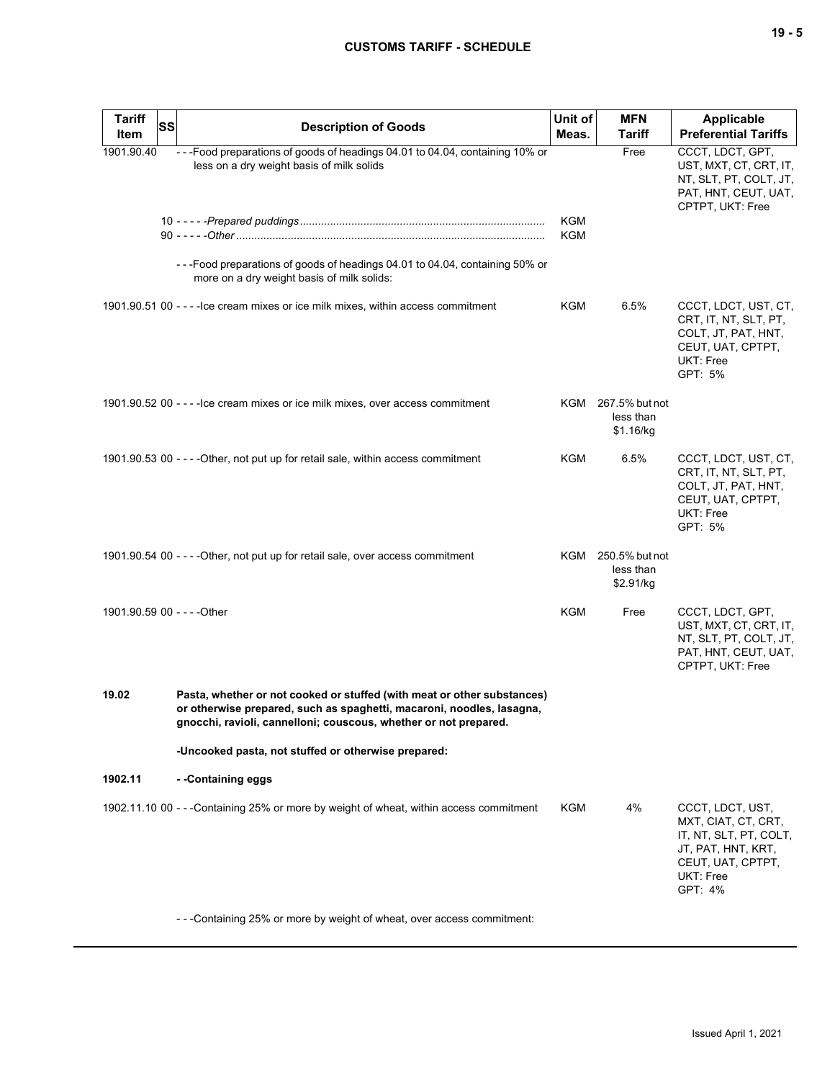| <b>Tariff</b><br>Item       | <b>SS</b> | <b>Description of Goods</b>                                                                                                                                                                                          | Unit of<br>Meas. | <b>MFN</b><br><b>Tariff</b>                  | <b>Applicable</b><br><b>Preferential Tariffs</b>                                                                                     |
|-----------------------------|-----------|----------------------------------------------------------------------------------------------------------------------------------------------------------------------------------------------------------------------|------------------|----------------------------------------------|--------------------------------------------------------------------------------------------------------------------------------------|
| 1901.90.40                  |           | ---Food preparations of goods of headings 04.01 to 04.04, containing 10% or<br>less on a dry weight basis of milk solids                                                                                             | <b>KGM</b>       | Free                                         | CCCT, LDCT, GPT,<br>UST, MXT, CT, CRT, IT,<br>NT, SLT, PT, COLT, JT,<br>PAT, HNT, CEUT, UAT,<br>CPTPT, UKT: Free                     |
|                             |           |                                                                                                                                                                                                                      | KGM              |                                              |                                                                                                                                      |
|                             |           | ---Food preparations of goods of headings 04.01 to 04.04, containing 50% or<br>more on a dry weight basis of milk solids:                                                                                            |                  |                                              |                                                                                                                                      |
|                             |           | 1901.90.51 00 - - - - lce cream mixes or ice milk mixes, within access commitment                                                                                                                                    | KGM              | 6.5%                                         | CCCT, LDCT, UST, CT,<br>CRT, IT, NT, SLT, PT,<br>COLT, JT, PAT, HNT,<br>CEUT, UAT, CPTPT,<br>UKT: Free<br>GPT: 5%                    |
|                             |           | 1901.90.52 00 - - - - lce cream mixes or ice milk mixes, over access commitment                                                                                                                                      |                  | KGM 267.5% but not<br>less than<br>\$1.16/kg |                                                                                                                                      |
|                             |           | 1901.90.53 00 - - - - Other, not put up for retail sale, within access commitment                                                                                                                                    | KGM              | 6.5%                                         | CCCT, LDCT, UST, CT,<br>CRT, IT, NT, SLT, PT,<br>COLT, JT, PAT, HNT,<br>CEUT, UAT, CPTPT,<br>UKT: Free<br>GPT: 5%                    |
|                             |           | 1901.90.54 00 - - - - Other, not put up for retail sale, over access commitment                                                                                                                                      | KGM              | 250.5% but not<br>less than<br>\$2.91/kg     |                                                                                                                                      |
| 1901.90.59 00 - - - - Other |           |                                                                                                                                                                                                                      | <b>KGM</b>       | Free                                         | CCCT, LDCT, GPT,<br>UST, MXT, CT, CRT, IT,<br>NT, SLT, PT, COLT, JT,<br>PAT, HNT, CEUT, UAT,<br>CPTPT, UKT: Free                     |
| 19.02                       |           | Pasta, whether or not cooked or stuffed (with meat or other substances)<br>or otherwise prepared, such as spaghetti, macaroni, noodles, lasagna,<br>gnocchi, ravioli, cannelloni; couscous, whether or not prepared. |                  |                                              |                                                                                                                                      |
|                             |           | -Uncooked pasta, not stuffed or otherwise prepared:                                                                                                                                                                  |                  |                                              |                                                                                                                                      |
| 1902.11                     |           | --Containing eggs                                                                                                                                                                                                    |                  |                                              |                                                                                                                                      |
|                             |           | 1902.11.10 00 - - -Containing 25% or more by weight of wheat, within access commitment                                                                                                                               | <b>KGM</b>       | 4%                                           | CCCT, LDCT, UST,<br>MXT, CIAT, CT, CRT,<br>IT, NT, SLT, PT, COLT,<br>JT, PAT, HNT, KRT,<br>CEUT, UAT, CPTPT,<br>UKT: Free<br>GPT: 4% |
|                             |           | ---Containing 25% or more by weight of wheat, over access commitment:                                                                                                                                                |                  |                                              |                                                                                                                                      |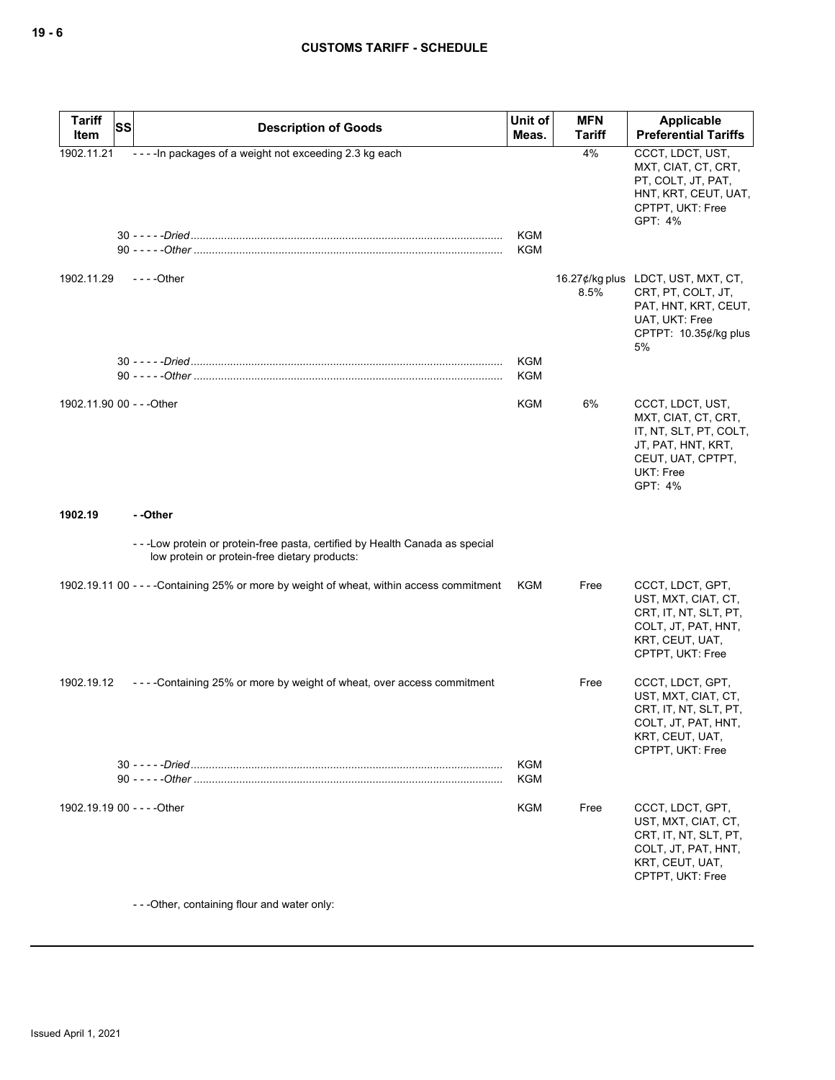| <b>Tariff</b><br>Item       | <b>SS</b> | <b>Description of Goods</b>                                                                                                  | Unit of<br>Meas. | <b>MFN</b><br>Tariff | Applicable<br><b>Preferential Tariffs</b>                                                                                            |
|-----------------------------|-----------|------------------------------------------------------------------------------------------------------------------------------|------------------|----------------------|--------------------------------------------------------------------------------------------------------------------------------------|
| 1902.11.21                  |           | ---- In packages of a weight not exceeding 2.3 kg each                                                                       |                  | 4%                   | CCCT, LDCT, UST,<br>MXT, CIAT, CT, CRT,<br>PT, COLT, JT, PAT,<br>HNT, KRT, CEUT, UAT,<br>CPTPT, UKT: Free<br>GPT: 4%                 |
|                             |           |                                                                                                                              | KGM<br>KGM       |                      |                                                                                                                                      |
| 1902.11.29                  |           | $--$ - Other                                                                                                                 |                  | 8.5%                 | 16.27¢/kg plus LDCT, UST, MXT, CT,<br>CRT, PT, COLT, JT,<br>PAT, HNT, KRT, CEUT,<br>UAT, UKT: Free<br>CPTPT: 10.35¢/kg plus<br>5%    |
|                             |           |                                                                                                                              | KGM<br>KGM       |                      |                                                                                                                                      |
| 1902.11.90 00 - - - Other   |           |                                                                                                                              | KGM              | 6%                   | CCCT, LDCT, UST,<br>MXT, CIAT, CT, CRT,<br>IT, NT, SLT, PT, COLT,<br>JT, PAT, HNT, KRT,<br>CEUT, UAT, CPTPT,<br>UKT: Free<br>GPT: 4% |
| 1902.19                     |           | - -Other                                                                                                                     |                  |                      |                                                                                                                                      |
|                             |           | ---Low protein or protein-free pasta, certified by Health Canada as special<br>low protein or protein-free dietary products: |                  |                      |                                                                                                                                      |
|                             |           | 1902.19.11 00 - - - - Containing 25% or more by weight of wheat, within access commitment                                    | <b>KGM</b>       | Free                 | CCCT, LDCT, GPT,<br>UST, MXT, CIAT, CT,<br>CRT, IT, NT, SLT, PT,<br>COLT, JT, PAT, HNT,<br>KRT, CEUT, UAT,<br>CPTPT, UKT: Free       |
| 1902.19.12                  |           | ----Containing 25% or more by weight of wheat, over access commitment                                                        |                  | Free                 | CCCT, LDCT, GPT,<br>UST, MXT, CIAT, CT,<br>CRT, IT, NT, SLT, PT,<br>COLT, JT, PAT, HNT,<br>KRT, CEUT, UAT,<br>CPTPT, UKT: Free       |
|                             |           |                                                                                                                              | KGM<br>KGM       |                      |                                                                                                                                      |
| 1902.19.19 00 - - - - Other |           |                                                                                                                              | KGM              | Free                 | CCCT, LDCT, GPT,<br>UST, MXT, CIAT, CT,<br>CRT, IT, NT, SLT, PT,<br>COLT, JT, PAT, HNT,<br>KRT, CEUT, UAT,<br>CPTPT, UKT: Free       |

- - -Other, containing flour and water only: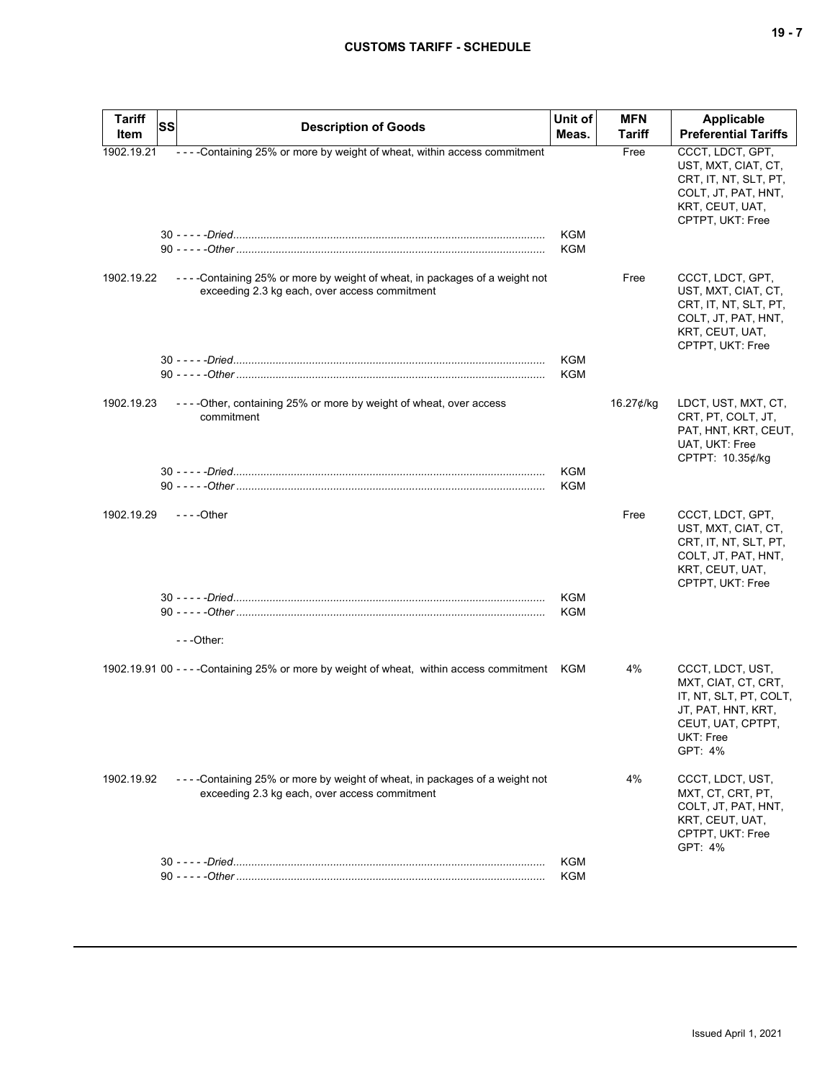| ۰.<br>× |  |  |
|---------|--|--|
|---------|--|--|

| <b>Tariff</b> | <b>SS</b> | <b>Description of Goods</b>                                                                                                 | Unit of                  | <b>MFN</b> | Applicable                                                                                                                           |
|---------------|-----------|-----------------------------------------------------------------------------------------------------------------------------|--------------------------|------------|--------------------------------------------------------------------------------------------------------------------------------------|
| Item          |           |                                                                                                                             | Meas.                    | Tariff     | <b>Preferential Tariffs</b>                                                                                                          |
| 1902.19.21    |           | ----Containing 25% or more by weight of wheat, within access commitment                                                     | <b>KGM</b><br>KGM        | Free       | CCCT, LDCT, GPT,<br>UST, MXT, CIAT, CT,<br>CRT, IT, NT, SLT, PT,<br>COLT, JT, PAT, HNT,<br>KRT, CEUT, UAT,<br>CPTPT, UKT: Free       |
| 1902.19.22    |           | ----Containing 25% or more by weight of wheat, in packages of a weight not<br>exceeding 2.3 kg each, over access commitment |                          | Free       | CCCT, LDCT, GPT,<br>UST, MXT, CIAT, CT,<br>CRT, IT, NT, SLT, PT,<br>COLT, JT, PAT, HNT,<br>KRT, CEUT, UAT,<br>CPTPT, UKT: Free       |
|               |           |                                                                                                                             | <b>KGM</b><br><b>KGM</b> |            |                                                                                                                                      |
| 1902.19.23    |           | ----Other, containing 25% or more by weight of wheat, over access<br>commitment                                             |                          | 16.27¢/kg  | LDCT, UST, MXT, CT,<br>CRT, PT, COLT, JT,<br>PAT, HNT, KRT, CEUT,<br>UAT, UKT: Free<br>CPTPT: 10.35¢/kg                              |
|               |           | 90 - - - - - Other ………………………………………………………………………………………                                                                        | <b>KGM</b><br>KGM        |            |                                                                                                                                      |
| 1902.19.29    |           | $- - -$ Other                                                                                                               |                          | Free       | CCCT, LDCT, GPT,<br>UST, MXT, CIAT, CT,<br>CRT, IT, NT, SLT, PT,<br>COLT, JT, PAT, HNT,<br>KRT, CEUT, UAT,<br>CPTPT, UKT: Free       |
|               |           | ---Other:                                                                                                                   | KGM<br>KGM               |            |                                                                                                                                      |
|               |           |                                                                                                                             |                          |            |                                                                                                                                      |
|               |           | 1902.19.91 00 - - - - Containing 25% or more by weight of wheat, within access commitment KGM                               |                          | 4%         | CCCT, LDCT, UST,<br>MXT, CIAT, CT, CRT,<br>IT, NT, SLT, PT, COLT,<br>JT, PAT, HNT, KRT,<br>CEUT, UAT, CPTPT,<br>UKT: Free<br>GPT: 4% |
| 1902.19.92    |           | ----Containing 25% or more by weight of wheat, in packages of a weight not<br>exceeding 2.3 kg each, over access commitment |                          | 4%         | CCCT, LDCT, UST,<br>MXT, CT, CRT, PT,<br>COLT, JT, PAT, HNT,<br>KRT, CEUT, UAT,<br>CPTPT, UKT: Free<br>GPT: 4%                       |
|               |           |                                                                                                                             | <b>KGM</b>               |            |                                                                                                                                      |
|               |           |                                                                                                                             | KGM                      |            |                                                                                                                                      |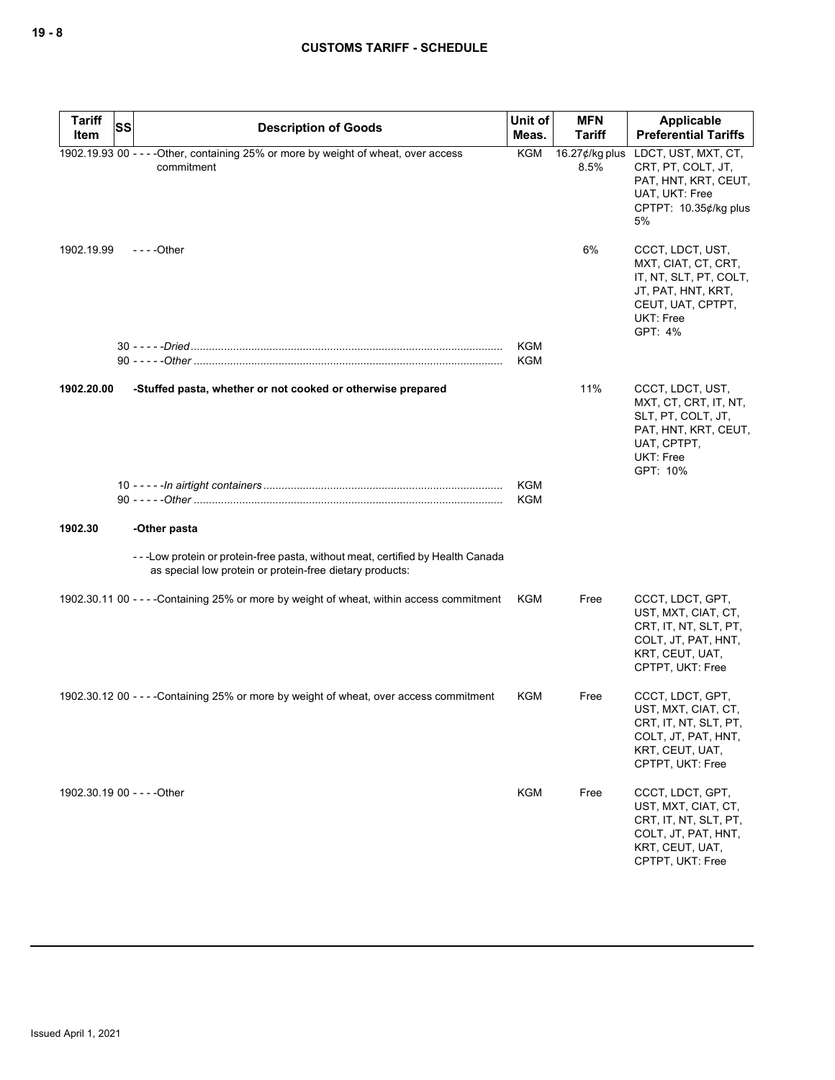| <b>Tariff</b><br>Item       | SS | <b>Description of Goods</b>                                                                                                                | Unit of<br>Meas.  | <b>MFN</b><br><b>Tariff</b> | Applicable<br><b>Preferential Tariffs</b>                                                                                            |
|-----------------------------|----|--------------------------------------------------------------------------------------------------------------------------------------------|-------------------|-----------------------------|--------------------------------------------------------------------------------------------------------------------------------------|
|                             |    | 1902.19.93 00 - - - - Other, containing 25% or more by weight of wheat, over access<br>commitment                                          | <b>KGM</b>        | 16.27¢/kg plus<br>8.5%      | LDCT, UST, MXT, CT,<br>CRT, PT, COLT, JT,<br>PAT, HNT, KRT, CEUT,<br>UAT, UKT: Free<br>CPTPT: 10.35¢/kg plus<br>5%                   |
| 1902.19.99                  |    | $--$ Other                                                                                                                                 |                   | 6%                          | CCCT, LDCT, UST,<br>MXT, CIAT, CT, CRT,<br>IT, NT, SLT, PT, COLT,<br>JT, PAT, HNT, KRT,<br>CEUT, UAT, CPTPT,<br>UKT: Free<br>GPT: 4% |
|                             |    |                                                                                                                                            | KGM<br>KGM        |                             |                                                                                                                                      |
| 1902.20.00                  |    | -Stuffed pasta, whether or not cooked or otherwise prepared                                                                                |                   | 11%                         | CCCT, LDCT, UST,<br>MXT, CT, CRT, IT, NT,<br>SLT, PT, COLT, JT,<br>PAT, HNT, KRT, CEUT,<br>UAT, CPTPT,<br>UKT: Free<br>GPT: 10%      |
|                             |    |                                                                                                                                            | KGM<br><b>KGM</b> |                             |                                                                                                                                      |
| 1902.30                     |    | -Other pasta                                                                                                                               |                   |                             |                                                                                                                                      |
|                             |    | ---Low protein or protein-free pasta, without meat, certified by Health Canada<br>as special low protein or protein-free dietary products: |                   |                             |                                                                                                                                      |
|                             |    | 1902.30.11 00 - - - - Containing 25% or more by weight of wheat, within access commitment                                                  | KGM               | Free                        | CCCT, LDCT, GPT,<br>UST, MXT, CIAT, CT,<br>CRT, IT, NT, SLT, PT,<br>COLT, JT, PAT, HNT,<br>KRT, CEUT, UAT,<br>CPTPT, UKT: Free       |
|                             |    | 1902.30.12 00 - - - - Containing 25% or more by weight of wheat, over access commitment                                                    | KGM               | Free                        | CCCT, LDCT, GPT,<br>UST, MXT, CIAT, CT,<br>CRT, IT, NT, SLT, PT,<br>COLT, JT, PAT, HNT,<br>KRT, CEUT, UAT,<br>CPTPT, UKT: Free       |
| 1902.30.19 00 - - - - Other |    |                                                                                                                                            | <b>KGM</b>        | Free                        | CCCT, LDCT, GPT,<br>UST, MXT, CIAT, CT,<br>CRT, IT, NT, SLT, PT,<br>COLT, JT, PAT, HNT,<br>KRT, CEUT, UAT,<br>CPTPT, UKT: Free       |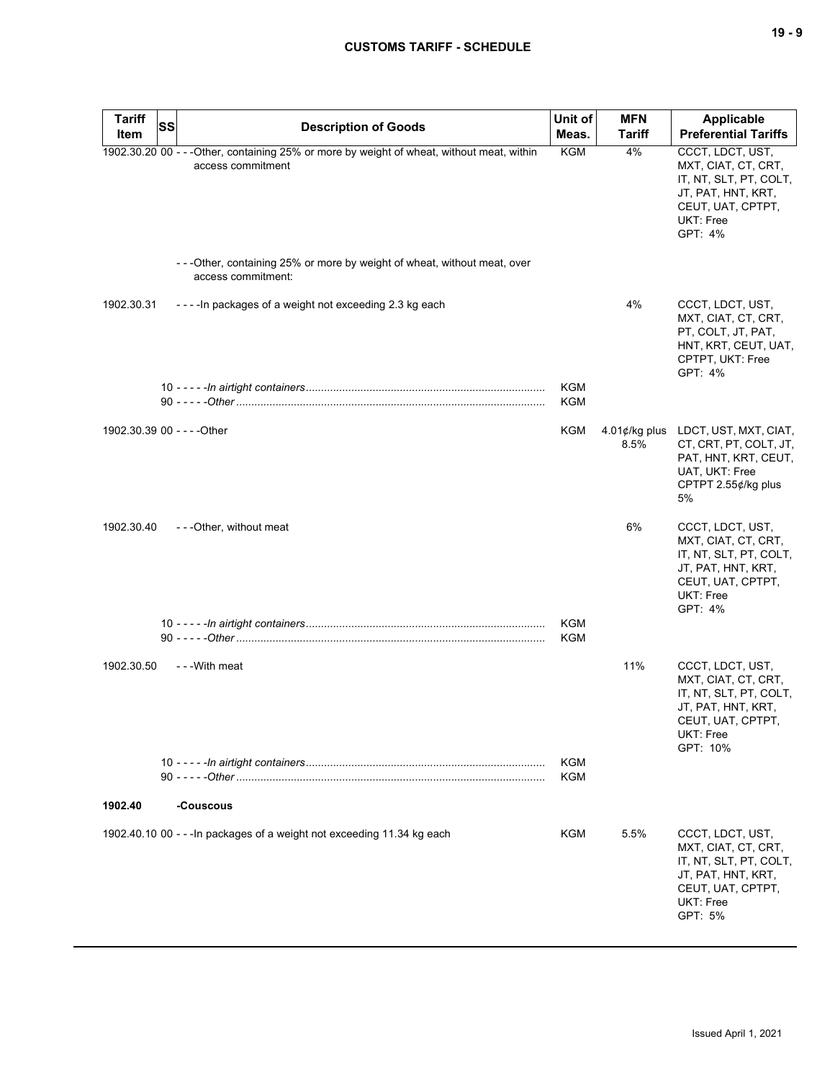| <b>Tariff</b><br>Item | <b>SS</b><br><b>Description of Goods</b>                                                                        | Unit of<br>Meas.         | <b>MFN</b><br><b>Tariff</b> | <b>Applicable</b><br><b>Preferential Tariffs</b>                                                                                      |
|-----------------------|-----------------------------------------------------------------------------------------------------------------|--------------------------|-----------------------------|---------------------------------------------------------------------------------------------------------------------------------------|
|                       | 1902.30.20 00 - - - Other, containing 25% or more by weight of wheat, without meat, within<br>access commitment | <b>KGM</b>               | 4%                          | CCCT, LDCT, UST,<br>MXT, CIAT, CT, CRT,<br>IT, NT, SLT, PT, COLT,<br>JT, PAT, HNT, KRT,<br>CEUT, UAT, CPTPT,<br>UKT: Free<br>GPT: 4%  |
|                       | ---Other, containing 25% or more by weight of wheat, without meat, over<br>access commitment:                   |                          |                             |                                                                                                                                       |
| 1902.30.31            | ---- In packages of a weight not exceeding 2.3 kg each                                                          |                          | 4%                          | CCCT, LDCT, UST,<br>MXT, CIAT, CT, CRT,<br>PT, COLT, JT, PAT,<br>HNT, KRT, CEUT, UAT,<br>CPTPT, UKT: Free<br>GPT: 4%                  |
|                       |                                                                                                                 | <b>KGM</b><br><b>KGM</b> |                             |                                                                                                                                       |
|                       | 1902.30.39 00 - - - - Other                                                                                     | KGM                      | $4.01$ ¢/kg plus<br>8.5%    | LDCT, UST, MXT, CIAT,<br>CT, CRT, PT, COLT, JT,<br>PAT, HNT, KRT, CEUT,<br>UAT, UKT: Free<br>CPTPT 2.55¢/kg plus<br>5%                |
| 1902.30.40            | - - - Other, without meat                                                                                       |                          | 6%                          | CCCT, LDCT, UST,<br>MXT, CIAT, CT, CRT,<br>IT, NT, SLT, PT, COLT,<br>JT, PAT, HNT, KRT,<br>CEUT, UAT, CPTPT,<br>UKT: Free<br>GPT: 4%  |
|                       |                                                                                                                 | <b>KGM</b><br>KGM        |                             |                                                                                                                                       |
| 1902.30.50            | - - - With meat                                                                                                 |                          | 11%                         | CCCT, LDCT, UST,<br>MXT, CIAT, CT, CRT,<br>IT, NT, SLT, PT, COLT,<br>JT, PAT, HNT, KRT,<br>CEUT, UAT, CPTPT,<br>UKT: Free<br>GPT: 10% |
|                       |                                                                                                                 | <b>KGM</b><br><b>KGM</b> |                             |                                                                                                                                       |
| 1902.40               | -Couscous                                                                                                       |                          |                             |                                                                                                                                       |
|                       | 1902.40.10 00 - - - In packages of a weight not exceeding 11.34 kg each                                         | KGM                      | 5.5%                        | CCCT, LDCT, UST,<br>MXT, CIAT, CT, CRT,<br>IT, NT, SLT, PT, COLT,<br>JT, PAT, HNT, KRT,<br>CEUT, UAT, CPTPT,<br>UKT: Free<br>GPT: 5%  |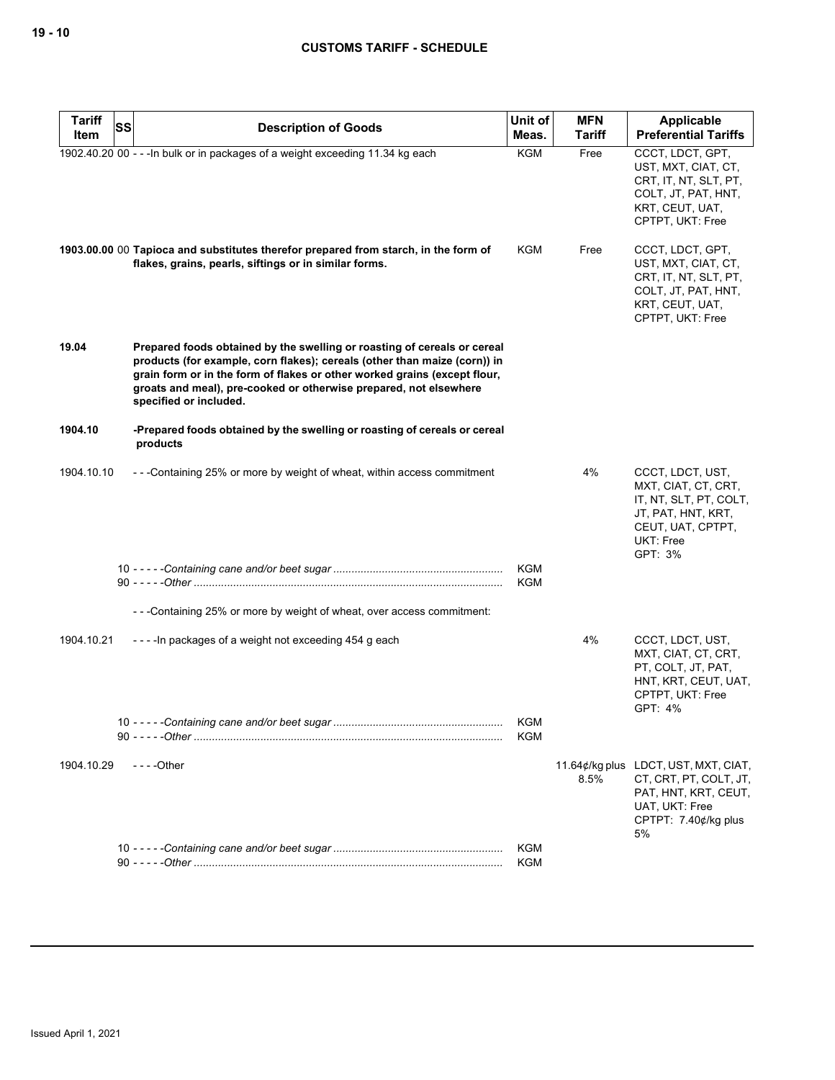| <b>Tariff</b> | <b>SS</b> | <b>Description of Goods</b>                                                                                                                                                                                                                                                                                                       | Unit of                  | <b>MFN</b>    | Applicable                                                                                                                             |
|---------------|-----------|-----------------------------------------------------------------------------------------------------------------------------------------------------------------------------------------------------------------------------------------------------------------------------------------------------------------------------------|--------------------------|---------------|----------------------------------------------------------------------------------------------------------------------------------------|
| Item          |           |                                                                                                                                                                                                                                                                                                                                   | Meas.                    | <b>Tariff</b> | <b>Preferential Tariffs</b>                                                                                                            |
|               |           | 1902.40.20 00 - - - In bulk or in packages of a weight exceeding 11.34 kg each                                                                                                                                                                                                                                                    | <b>KGM</b>               | Free          | CCCT, LDCT, GPT,<br>UST, MXT, CIAT, CT,<br>CRT, IT, NT, SLT, PT,<br>COLT, JT, PAT, HNT,<br>KRT, CEUT, UAT,<br>CPTPT, UKT: Free         |
|               |           | 1903.00.00 00 Tapioca and substitutes therefor prepared from starch, in the form of<br>flakes, grains, pearls, siftings or in similar forms.                                                                                                                                                                                      | <b>KGM</b>               | Free          | CCCT, LDCT, GPT,<br>UST, MXT, CIAT, CT,<br>CRT, IT, NT, SLT, PT,<br>COLT, JT, PAT, HNT,<br>KRT, CEUT, UAT,<br>CPTPT, UKT: Free         |
| 19.04         |           | Prepared foods obtained by the swelling or roasting of cereals or cereal<br>products (for example, corn flakes); cereals (other than maize (corn)) in<br>grain form or in the form of flakes or other worked grains (except flour,<br>groats and meal), pre-cooked or otherwise prepared, not elsewhere<br>specified or included. |                          |               |                                                                                                                                        |
| 1904.10       |           | -Prepared foods obtained by the swelling or roasting of cereals or cereal<br>products                                                                                                                                                                                                                                             |                          |               |                                                                                                                                        |
| 1904.10.10    |           | - - - Containing 25% or more by weight of wheat, within access commitment                                                                                                                                                                                                                                                         |                          | 4%            | CCCT, LDCT, UST,<br>MXT, CIAT, CT, CRT,<br>IT, NT, SLT, PT, COLT,<br>JT, PAT, HNT, KRT,<br>CEUT, UAT, CPTPT,<br>UKT: Free<br>GPT: 3%   |
|               |           |                                                                                                                                                                                                                                                                                                                                   | <b>KGM</b><br>KGM        |               |                                                                                                                                        |
|               |           | - - - Containing 25% or more by weight of wheat, over access commitment:                                                                                                                                                                                                                                                          |                          |               |                                                                                                                                        |
| 1904.10.21    |           | ----In packages of a weight not exceeding 454 g each                                                                                                                                                                                                                                                                              |                          | 4%            | CCCT, LDCT, UST,<br>MXT, CIAT, CT, CRT,<br>PT, COLT, JT, PAT,<br>HNT, KRT, CEUT, UAT,<br>CPTPT, UKT: Free<br>GPT: 4%                   |
|               |           |                                                                                                                                                                                                                                                                                                                                   | <b>KGM</b><br>KGM        |               |                                                                                                                                        |
| 1904.10.29    |           | $--$ Other                                                                                                                                                                                                                                                                                                                        |                          | 8.5%          | 11.64¢/kg plus LDCT, UST, MXT, CIAT,<br>CT, CRT, PT, COLT, JT,<br>PAT, HNT, KRT, CEUT,<br>UAT, UKT: Free<br>CPTPT: 7.40¢/kg plus<br>5% |
|               |           |                                                                                                                                                                                                                                                                                                                                   | <b>KGM</b><br><b>KGM</b> |               |                                                                                                                                        |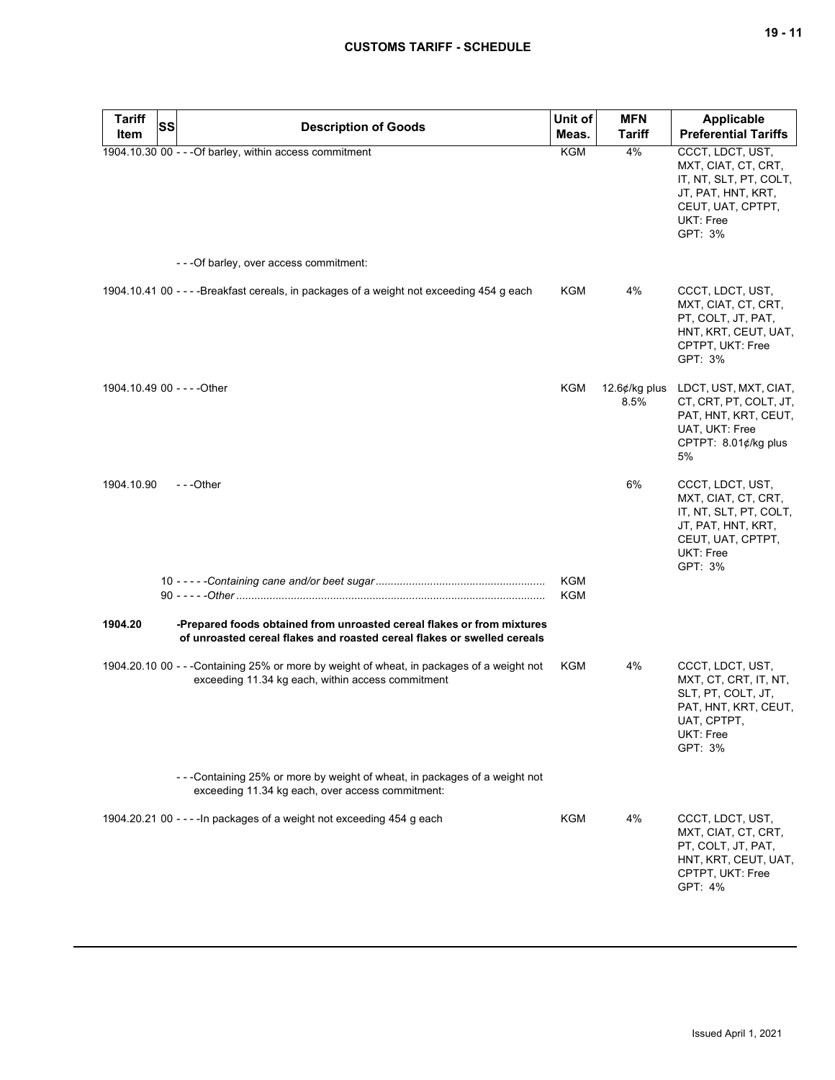| <b>Tariff</b> | SS |                                                                                                                                                   | Unit of    | <b>MFN</b>                | <b>Applicable</b>                                                                                                                    |
|---------------|----|---------------------------------------------------------------------------------------------------------------------------------------------------|------------|---------------------------|--------------------------------------------------------------------------------------------------------------------------------------|
| Item          |    | <b>Description of Goods</b>                                                                                                                       | Meas.      | Tariff                    | <b>Preferential Tariffs</b>                                                                                                          |
|               |    | 1904.10.30 00 - - - Of barley, within access commitment                                                                                           | KGM        | 4%                        | CCCT, LDCT, UST,<br>MXT, CIAT, CT, CRT,<br>IT, NT, SLT, PT, COLT,<br>JT, PAT, HNT, KRT,<br>CEUT, UAT, CPTPT,<br>UKT: Free<br>GPT: 3% |
|               |    | - - - Of barley, over access commitment:                                                                                                          |            |                           |                                                                                                                                      |
|               |    | 1904.10.41 00 - - - - Breakfast cereals, in packages of a weight not exceeding 454 g each                                                         | KGM        | 4%                        | CCCT, LDCT, UST,<br>MXT, CIAT, CT, CRT,<br>PT, COLT, JT, PAT,<br>HNT, KRT, CEUT, UAT,<br>CPTPT, UKT: Free<br>GPT: 3%                 |
|               |    | 1904.10.49 00 - - - - Other                                                                                                                       | KGM        | 12.6 $¢$ /kg plus<br>8.5% | LDCT, UST, MXT, CIAT,<br>CT, CRT, PT, COLT, JT,<br>PAT, HNT, KRT, CEUT,<br>UAT, UKT: Free<br>CPTPT: 8.01¢/kg plus<br>5%              |
| 1904.10.90    |    | $-$ - -Other                                                                                                                                      |            | 6%                        | CCCT, LDCT, UST,<br>MXT, CIAT, CT, CRT,<br>IT, NT, SLT, PT, COLT,<br>JT, PAT, HNT, KRT,<br>CEUT, UAT, CPTPT,<br>UKT: Free<br>GPT: 3% |
|               |    |                                                                                                                                                   | KGM<br>KGM |                           |                                                                                                                                      |
| 1904.20       |    | -Prepared foods obtained from unroasted cereal flakes or from mixtures<br>of unroasted cereal flakes and roasted cereal flakes or swelled cereals |            |                           |                                                                                                                                      |
|               |    | 1904.20.10 00 - - -Containing 25% or more by weight of wheat, in packages of a weight not<br>exceeding 11.34 kg each, within access commitment    | KGM        | 4%                        | CCCT, LDCT, UST,<br>MXT, CT, CRT, IT, NT,<br>SLT, PT, COLT, JT,<br>PAT, HNT, KRT, CEUT,<br>UAT, CPTPT,<br>UKT: Free<br>GPT: 3%       |
|               |    | - - - Containing 25% or more by weight of wheat, in packages of a weight not<br>exceeding 11.34 kg each, over access commitment:                  |            |                           |                                                                                                                                      |
|               |    | 1904.20.21 00 - - - - In packages of a weight not exceeding 454 g each                                                                            | KGM        | 4%                        | CCCT, LDCT, UST,<br>MXT, CIAT, CT, CRT,<br>PT, COLT, JT, PAT,<br>HNT, KRT, CEUT, UAT,<br>CPTPT, UKT: Free<br>GPT: 4%                 |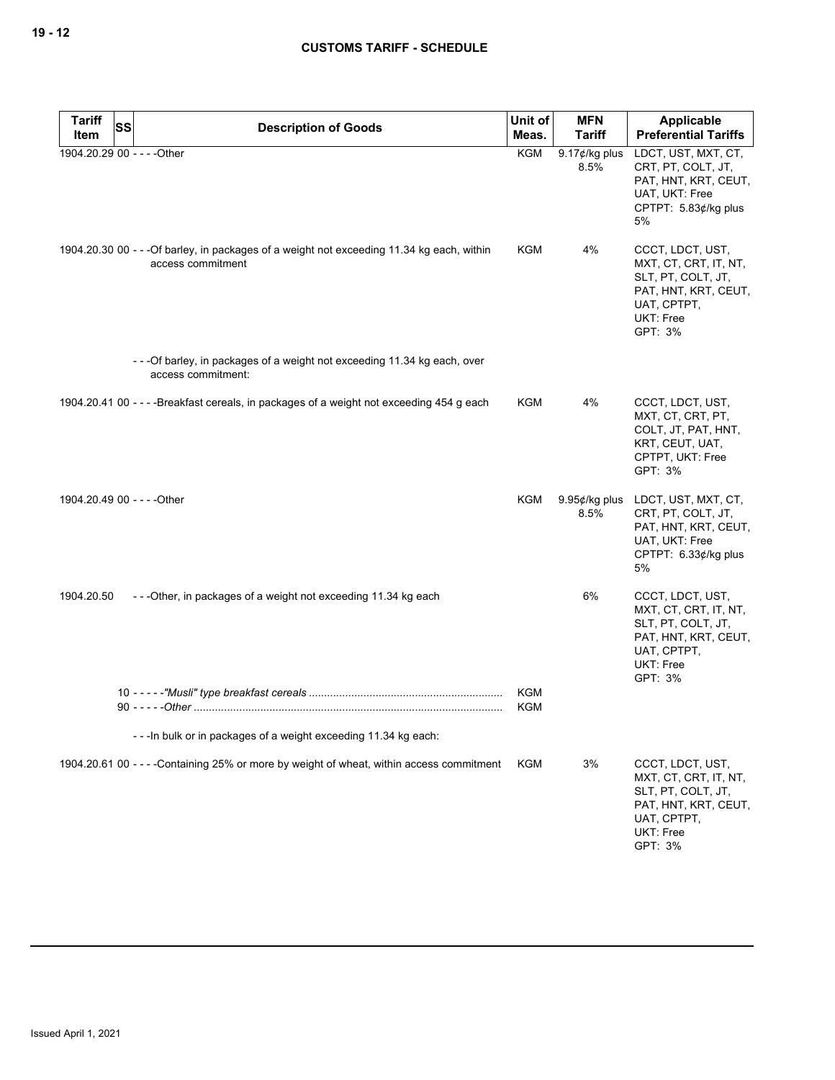| <b>Tariff</b>               | SS | <b>Description of Goods</b>                                                                                     | Unit of                  | <b>MFN</b>                | Applicable                                                                                                                     |
|-----------------------------|----|-----------------------------------------------------------------------------------------------------------------|--------------------------|---------------------------|--------------------------------------------------------------------------------------------------------------------------------|
| Item                        |    |                                                                                                                 | Meas.                    | <b>Tariff</b>             | <b>Preferential Tariffs</b>                                                                                                    |
| 1904.20.29 00 - - - - Other |    |                                                                                                                 | <b>KGM</b>               | 9.17 $¢$ /kg plus<br>8.5% | LDCT, UST, MXT, CT,<br>CRT, PT, COLT, JT,<br>PAT, HNT, KRT, CEUT,<br>UAT, UKT: Free<br>CPTPT: 5.83¢/kg plus<br>5%              |
|                             |    | 1904.20.30 00 - - - Of barley, in packages of a weight not exceeding 11.34 kg each, within<br>access commitment | <b>KGM</b>               | 4%                        | CCCT, LDCT, UST,<br>MXT, CT, CRT, IT, NT,<br>SLT, PT, COLT, JT,<br>PAT, HNT, KRT, CEUT,<br>UAT, CPTPT,<br>UKT: Free<br>GPT: 3% |
|                             |    | - - - Of barley, in packages of a weight not exceeding 11.34 kg each, over<br>access commitment:                |                          |                           |                                                                                                                                |
|                             |    | 1904.20.41 00 - - - - Breakfast cereals, in packages of a weight not exceeding 454 g each                       | KGM                      | 4%                        | CCCT, LDCT, UST,<br>MXT, CT, CRT, PT,<br>COLT, JT, PAT, HNT,<br>KRT, CEUT, UAT,<br>CPTPT, UKT: Free<br>GPT: 3%                 |
| 1904.20.49 00 - - - - Other |    |                                                                                                                 | KGM                      | 9.95¢/kg plus<br>8.5%     | LDCT, UST, MXT, CT,<br>CRT, PT, COLT, JT,<br>PAT, HNT, KRT, CEUT,<br>UAT, UKT: Free<br>CPTPT: 6.33¢/kg plus<br>5%              |
| 1904.20.50                  |    | ---Other, in packages of a weight not exceeding 11.34 kg each                                                   |                          | 6%                        | CCCT, LDCT, UST,<br>MXT, CT, CRT, IT, NT,<br>SLT, PT, COLT, JT,<br>PAT, HNT, KRT, CEUT,<br>UAT, CPTPT,<br>UKT: Free<br>GPT: 3% |
|                             |    |                                                                                                                 | <b>KGM</b><br><b>KGM</b> |                           |                                                                                                                                |
|                             |    | --- In bulk or in packages of a weight exceeding 11.34 kg each:                                                 |                          |                           |                                                                                                                                |
|                             |    | 1904.20.61 00 - - - - Containing 25% or more by weight of wheat, within access commitment                       | KGM                      | 3%                        | CCCT, LDCT, UST,<br>MXT, CT, CRT, IT, NT,<br>SLT, PT, COLT, JT,<br>PAT, HNT, KRT, CEUT,<br>UAT, CPTPT,<br>UKT: Free<br>GPT: 3% |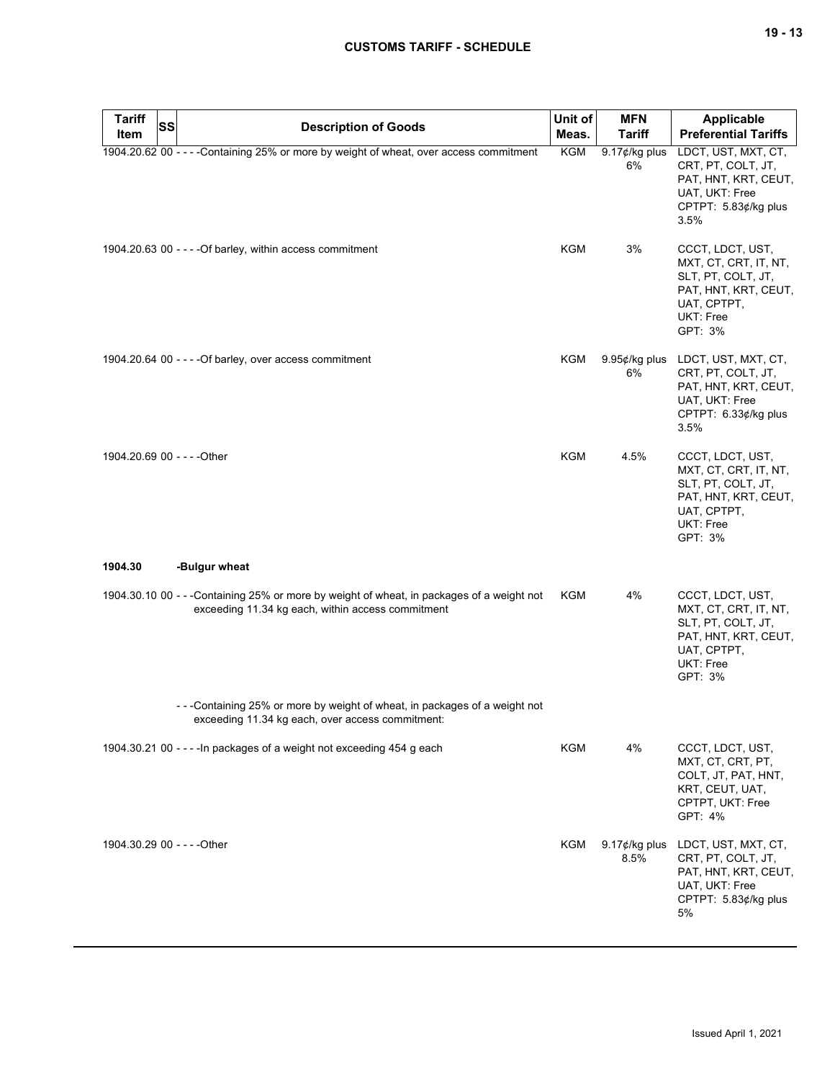| <b>Tariff</b><br><b>SS</b><br>Item | <b>Description of Goods</b>                                                                                                                    | Unit of<br>Meas. | <b>MFN</b><br><b>Tariff</b> | Applicable<br><b>Preferential Tariffs</b>                                                                                      |
|------------------------------------|------------------------------------------------------------------------------------------------------------------------------------------------|------------------|-----------------------------|--------------------------------------------------------------------------------------------------------------------------------|
|                                    | 1904.20.62 00 - - - - Containing 25% or more by weight of wheat, over access commitment                                                        | KGM              | $9.17$ ¢/kg plus<br>6%      | LDCT, UST, MXT, CT,<br>CRT, PT, COLT, JT,<br>PAT, HNT, KRT, CEUT,<br>UAT, UKT: Free<br>CPTPT: 5.83¢/kg plus<br>3.5%            |
|                                    | 1904.20.63 00 - - - - Of barley, within access commitment                                                                                      | KGM              | 3%                          | CCCT, LDCT, UST,<br>MXT, CT, CRT, IT, NT,<br>SLT, PT, COLT, JT,<br>PAT, HNT, KRT, CEUT,<br>UAT, CPTPT,<br>UKT: Free<br>GPT: 3% |
|                                    | 1904.20.64 00 - - - - Of barley, over access commitment                                                                                        | KGM              | $9.95¢/kg$ plus<br>6%       | LDCT, UST, MXT, CT,<br>CRT, PT, COLT, JT,<br>PAT, HNT, KRT, CEUT,<br>UAT, UKT: Free<br>CPTPT: 6.33¢/kg plus<br>3.5%            |
| 1904.20.69 00 - - - - Other        |                                                                                                                                                | <b>KGM</b>       | 4.5%                        | CCCT, LDCT, UST,<br>MXT, CT, CRT, IT, NT,<br>SLT, PT, COLT, JT,<br>PAT, HNT, KRT, CEUT,<br>UAT, CPTPT,<br>UKT: Free<br>GPT: 3% |
| 1904.30                            | -Bulgur wheat                                                                                                                                  |                  |                             |                                                                                                                                |
|                                    | 1904.30.10 00 - - -Containing 25% or more by weight of wheat, in packages of a weight not<br>exceeding 11.34 kg each, within access commitment | KGM              | 4%                          | CCCT, LDCT, UST,<br>MXT, CT, CRT, IT, NT,<br>SLT, PT, COLT, JT,<br>PAT, HNT, KRT, CEUT,<br>UAT, CPTPT,<br>UKT: Free<br>GPT: 3% |
|                                    | - - - Containing 25% or more by weight of wheat, in packages of a weight not<br>exceeding 11.34 kg each, over access commitment:               |                  |                             |                                                                                                                                |
|                                    | 1904.30.21 00 - - - - In packages of a weight not exceeding 454 g each                                                                         | KGM              | 4%                          | CCCT, LDCT, UST,<br>MXT, CT, CRT, PT,<br>COLT, JT, PAT, HNT,<br>KRT, CEUT, UAT,<br>CPTPT, UKT: Free<br>GPT: 4%                 |
| 1904.30.29 00 - - - - Other        |                                                                                                                                                | KGM              | $9.17$ ¢/kg plus<br>8.5%    | LDCT, UST, MXT, CT,<br>CRT, PT, COLT, JT,<br>PAT, HNT, KRT, CEUT,<br>UAT, UKT: Free<br>CPTPT: 5.83¢/kg plus<br>5%              |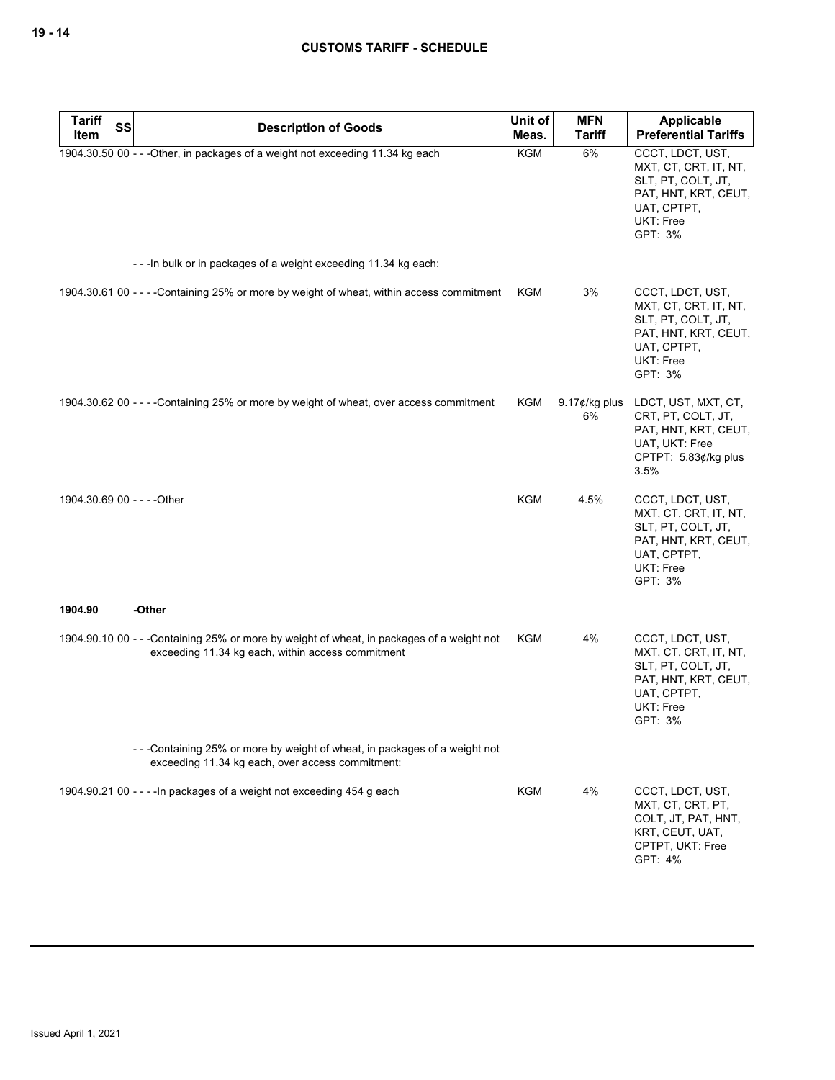| <b>Tariff</b>               | SS | <b>Description of Goods</b>                                                                                                                    | Unit of    | <b>MFN</b>              | Applicable                                                                                                                            |
|-----------------------------|----|------------------------------------------------------------------------------------------------------------------------------------------------|------------|-------------------------|---------------------------------------------------------------------------------------------------------------------------------------|
| Item                        |    |                                                                                                                                                | Meas.      | <b>Tariff</b>           | <b>Preferential Tariffs</b>                                                                                                           |
|                             |    | 1904.30.50 00 - - - Other, in packages of a weight not exceeding 11.34 kg each                                                                 | <b>KGM</b> | 6%                      | CCCT, LDCT, UST,<br>MXT, CT, CRT, IT, NT,<br>SLT, PT, COLT, JT,<br>PAT, HNT, KRT, CEUT,<br>UAT, CPTPT,<br><b>UKT: Free</b><br>GPT: 3% |
|                             |    | --- In bulk or in packages of a weight exceeding 11.34 kg each:                                                                                |            |                         |                                                                                                                                       |
|                             |    | 1904.30.61 00 - - - - Containing 25% or more by weight of wheat, within access commitment                                                      | KGM        | 3%                      | CCCT, LDCT, UST,<br>MXT, CT, CRT, IT, NT,<br>SLT, PT, COLT, JT,<br>PAT, HNT, KRT, CEUT,<br>UAT, CPTPT,<br>UKT: Free<br>GPT: 3%        |
|                             |    | 1904.30.62 00 - - - - Containing 25% or more by weight of wheat, over access commitment                                                        | KGM        | 9.17 $¢$ /kg plus<br>6% | LDCT, UST, MXT, CT,<br>CRT, PT, COLT, JT,<br>PAT, HNT, KRT, CEUT,<br>UAT, UKT: Free<br>CPTPT: 5.83¢/kg plus<br>3.5%                   |
| 1904.30.69 00 - - - - Other |    |                                                                                                                                                | <b>KGM</b> | 4.5%                    | CCCT, LDCT, UST,<br>MXT, CT, CRT, IT, NT,<br>SLT, PT, COLT, JT,<br>PAT, HNT, KRT, CEUT,<br>UAT, CPTPT,<br>UKT: Free<br>GPT: 3%        |
| 1904.90                     |    | -Other                                                                                                                                         |            |                         |                                                                                                                                       |
|                             |    | 1904.90.10 00 - - -Containing 25% or more by weight of wheat, in packages of a weight not<br>exceeding 11.34 kg each, within access commitment | KGM        | 4%                      | CCCT, LDCT, UST,<br>MXT, CT, CRT, IT, NT,<br>SLT, PT, COLT, JT,<br>PAT, HNT, KRT, CEUT,<br>UAT, CPTPT,<br><b>UKT: Free</b><br>GPT: 3% |
|                             |    | -- - Containing 25% or more by weight of wheat, in packages of a weight not<br>exceeding 11.34 kg each, over access commitment:                |            |                         |                                                                                                                                       |
|                             |    | 1904.90.21 00 - - - - In packages of a weight not exceeding 454 g each                                                                         | KGM        | 4%                      | CCCT, LDCT, UST,<br>MXT, CT, CRT, PT,<br>COLT, JT, PAT, HNT,<br>KRT, CEUT, UAT,<br>CPTPT, UKT: Free<br>GPT: 4%                        |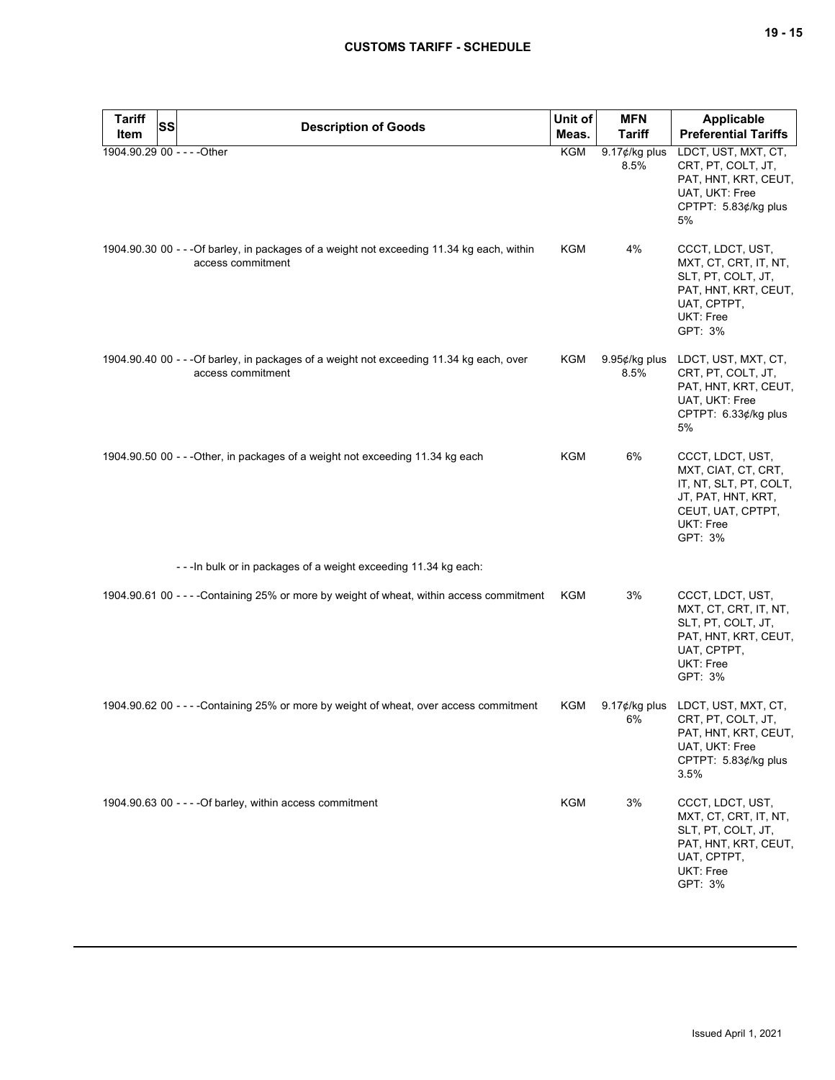| <b>Tariff</b>               | SS | <b>Description of Goods</b>                                                                                     | Unit of    | <b>MFN</b>            | <b>Applicable</b>                                                                                                                    |
|-----------------------------|----|-----------------------------------------------------------------------------------------------------------------|------------|-----------------------|--------------------------------------------------------------------------------------------------------------------------------------|
| Item                        |    |                                                                                                                 | Meas.      | <b>Tariff</b>         | <b>Preferential Tariffs</b>                                                                                                          |
| 1904.90.29 00 - - - - Other |    |                                                                                                                 | KGM        | 9.17¢/kg plus<br>8.5% | LDCT, UST, MXT, CT,<br>CRT, PT, COLT, JT,<br>PAT, HNT, KRT, CEUT,<br>UAT, UKT: Free<br>CPTPT: 5.83¢/kg plus<br>5%                    |
|                             |    | 1904.90.30 00 - - - Of barley, in packages of a weight not exceeding 11.34 kg each, within<br>access commitment | KGM        | 4%                    | CCCT, LDCT, UST,<br>MXT, CT, CRT, IT, NT,<br>SLT, PT, COLT, JT,<br>PAT, HNT, KRT, CEUT,<br>UAT, CPTPT,<br>UKT: Free<br>GPT: 3%       |
|                             |    | 1904.90.40 00 - - - Of barley, in packages of a weight not exceeding 11.34 kg each, over<br>access commitment   | KGM        | 9.95¢/kg plus<br>8.5% | LDCT, UST, MXT, CT,<br>CRT, PT, COLT, JT,<br>PAT, HNT, KRT, CEUT,<br>UAT, UKT: Free<br>CPTPT: 6.33¢/kg plus<br>5%                    |
|                             |    | 1904.90.50 00 - - - Other, in packages of a weight not exceeding 11.34 kg each                                  | KGM        | 6%                    | CCCT, LDCT, UST,<br>MXT, CIAT, CT, CRT,<br>IT, NT, SLT, PT, COLT,<br>JT, PAT, HNT, KRT,<br>CEUT, UAT, CPTPT,<br>UKT: Free<br>GPT: 3% |
|                             |    | - - - In bulk or in packages of a weight exceeding 11.34 kg each:                                               |            |                       |                                                                                                                                      |
|                             |    | 1904.90.61 00 - - - - Containing 25% or more by weight of wheat, within access commitment                       | KGM        | 3%                    | CCCT, LDCT, UST,<br>MXT, CT, CRT, IT, NT,<br>SLT, PT, COLT, JT,<br>PAT, HNT, KRT, CEUT,<br>UAT, CPTPT,<br>UKT: Free<br>GPT: 3%       |
|                             |    | 1904.90.62 00 - - - - Containing 25% or more by weight of wheat, over access commitment                         | KGM        | 6%                    | 9.17¢/kg plus LDCT, UST, MXT, CT,<br>CRT, PT, COLT, JT,<br>PAT, HNT, KRT, CEUT,<br>UAT, UKT: Free<br>CPTPT: 5.83¢/kg plus<br>3.5%    |
|                             |    | 1904.90.63 00 - - - - Of barley, within access commitment                                                       | <b>KGM</b> | 3%                    | CCCT, LDCT, UST,<br>MXT, CT, CRT, IT, NT,<br>SLT, PT, COLT, JT,<br>PAT, HNT, KRT, CEUT,<br>UAT, CPTPT,<br>UKT: Free<br>GPT: 3%       |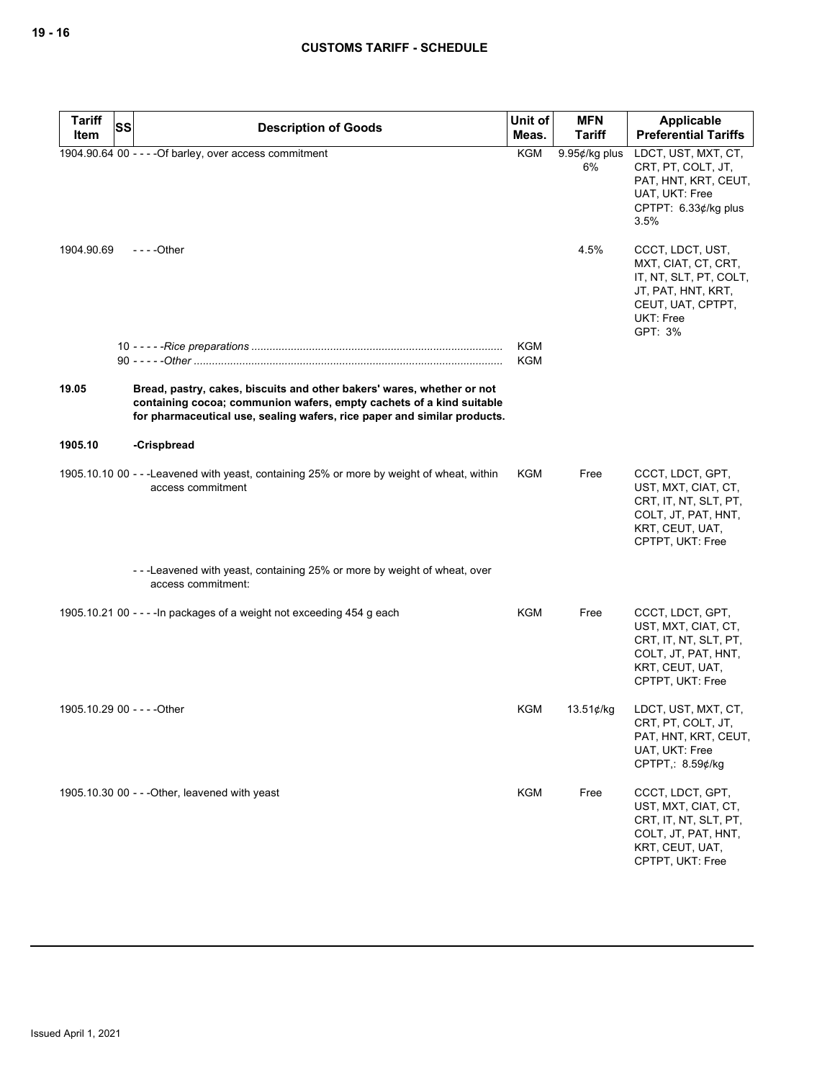| <b>Tariff</b><br><b>SS</b> | <b>Description of Goods</b>                                                                                                                                                                                                | Unit of    | <b>MFN</b>          | Applicable                                                                                                                           |
|----------------------------|----------------------------------------------------------------------------------------------------------------------------------------------------------------------------------------------------------------------------|------------|---------------------|--------------------------------------------------------------------------------------------------------------------------------------|
| Item                       |                                                                                                                                                                                                                            | Meas.      | <b>Tariff</b>       | <b>Preferential Tariffs</b>                                                                                                          |
|                            | 1904.90.64 00 - - - - Of barley, over access commitment                                                                                                                                                                    | KGM        | 9.95¢/kg plus<br>6% | LDCT, UST, MXT, CT,<br>CRT, PT, COLT, JT,<br>PAT, HNT, KRT, CEUT,<br>UAT, UKT: Free<br>CPTPT: 6.33¢/kg plus<br>3.5%                  |
| 1904.90.69                 | - - - - Other                                                                                                                                                                                                              |            | 4.5%                | CCCT, LDCT, UST,<br>MXT, CIAT, CT, CRT,<br>IT, NT, SLT, PT, COLT,<br>JT, PAT, HNT, KRT,<br>CEUT, UAT, CPTPT,<br>UKT: Free<br>GPT: 3% |
|                            |                                                                                                                                                                                                                            | KGM<br>KGM |                     |                                                                                                                                      |
| 19.05                      | Bread, pastry, cakes, biscuits and other bakers' wares, whether or not<br>containing cocoa; communion wafers, empty cachets of a kind suitable<br>for pharmaceutical use, sealing wafers, rice paper and similar products. |            |                     |                                                                                                                                      |
| 1905.10                    | -Crispbread                                                                                                                                                                                                                |            |                     |                                                                                                                                      |
|                            | 1905.10.10 00 - - -Leavened with yeast, containing 25% or more by weight of wheat, within<br>access commitment                                                                                                             | KGM        | Free                | CCCT, LDCT, GPT,<br>UST, MXT, CIAT, CT,<br>CRT, IT, NT, SLT, PT,<br>COLT, JT, PAT, HNT,<br>KRT, CEUT, UAT,<br>CPTPT, UKT: Free       |
|                            | ---Leavened with yeast, containing 25% or more by weight of wheat, over<br>access commitment:                                                                                                                              |            |                     |                                                                                                                                      |
|                            | 1905.10.21 00 - - - - In packages of a weight not exceeding 454 g each                                                                                                                                                     | KGM        | Free                | CCCT, LDCT, GPT,<br>UST, MXT, CIAT, CT,<br>CRT, IT, NT, SLT, PT,<br>COLT, JT, PAT, HNT,<br>KRT, CEUT, UAT,<br>CPTPT, UKT: Free       |
|                            | 1905.10.29 00 - - - - Other                                                                                                                                                                                                | KGM        | 13.51¢/kg           | LDCT, UST, MXT, CT,<br>CRT, PT, COLT, JT,<br>PAT, HNT, KRT, CEUT,<br>UAT, UKT: Free<br>CPTPT: 8.59¢/kg                               |
|                            | 1905.10.30 00 - - - Other, leavened with yeast                                                                                                                                                                             | <b>KGM</b> | Free                | CCCT, LDCT, GPT,<br>UST, MXT, CIAT, CT,<br>CRT, IT, NT, SLT, PT,<br>COLT, JT, PAT, HNT,<br>KRT, CEUT, UAT,<br>CPTPT, UKT: Free       |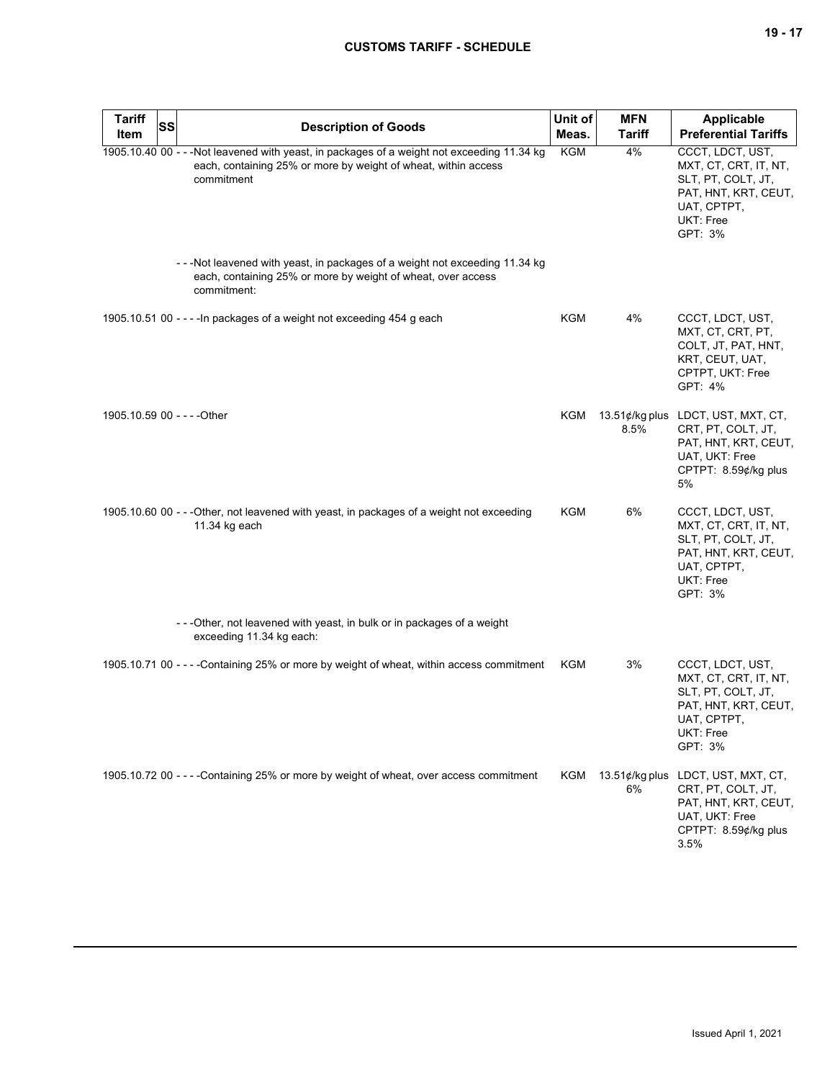| <b>Tariff</b><br>Item       | SS | <b>Description of Goods</b>                                                                                                                                                 | Unit of<br>Meas. | <b>MFN</b><br><b>Tariff</b> | <b>Applicable</b><br><b>Preferential Tariffs</b>                                                                                   |
|-----------------------------|----|-----------------------------------------------------------------------------------------------------------------------------------------------------------------------------|------------------|-----------------------------|------------------------------------------------------------------------------------------------------------------------------------|
|                             |    | 1905.10.40 00 - - - Not leavened with yeast, in packages of a weight not exceeding 11.34 kg<br>each, containing 25% or more by weight of wheat, within access<br>commitment | <b>KGM</b>       | 4%                          | CCCT, LDCT, UST,<br>MXT, CT, CRT, IT, NT,<br>SLT, PT, COLT, JT,<br>PAT, HNT, KRT, CEUT,<br>UAT, CPTPT,<br>UKT: Free<br>GPT: 3%     |
|                             |    | ---Not leavened with yeast, in packages of a weight not exceeding 11.34 kg<br>each, containing 25% or more by weight of wheat, over access<br>commitment:                   |                  |                             |                                                                                                                                    |
|                             |    | 1905.10.51 00 - - - - In packages of a weight not exceeding 454 g each                                                                                                      | KGM              | 4%                          | CCCT, LDCT, UST,<br>MXT, CT, CRT, PT,<br>COLT, JT, PAT, HNT,<br>KRT, CEUT, UAT,<br>CPTPT, UKT: Free<br>GPT: 4%                     |
| 1905.10.59 00 - - - - Other |    |                                                                                                                                                                             | KGM              | 8.5%                        | 13.51¢/kg plus LDCT, UST, MXT, CT,<br>CRT, PT, COLT, JT,<br>PAT, HNT, KRT, CEUT,<br>UAT, UKT: Free<br>CPTPT: 8.59¢/kg plus<br>5%   |
|                             |    | 1905.10.60 00 - - - Other, not leavened with yeast, in packages of a weight not exceeding<br>11.34 kg each                                                                  | KGM              | 6%                          | CCCT, LDCT, UST,<br>MXT, CT, CRT, IT, NT,<br>SLT, PT, COLT, JT,<br>PAT, HNT, KRT, CEUT,<br>UAT, CPTPT,<br>UKT: Free<br>GPT: 3%     |
|                             |    | ---Other, not leavened with yeast, in bulk or in packages of a weight<br>exceeding 11.34 kg each:                                                                           |                  |                             |                                                                                                                                    |
|                             |    | 1905.10.71 00 - - - - Containing 25% or more by weight of wheat, within access commitment                                                                                   | KGM              | 3%                          | CCCT, LDCT, UST,<br>MXT, CT, CRT, IT, NT,<br>SLT, PT, COLT, JT,<br>PAT, HNT, KRT, CEUT,<br>UAI, CPIPI,<br>UKT: Free<br>GPT: 3%     |
|                             |    | 1905.10.72 00 - - - - Containing 25% or more by weight of wheat, over access commitment                                                                                     | KGM              | 6%                          | 13.51¢/kg plus LDCT, UST, MXT, CT,<br>CRT, PT, COLT, JT,<br>PAT, HNT, KRT, CEUT,<br>UAT, UKT: Free<br>CPTPT: 8.59¢/kg plus<br>3.5% |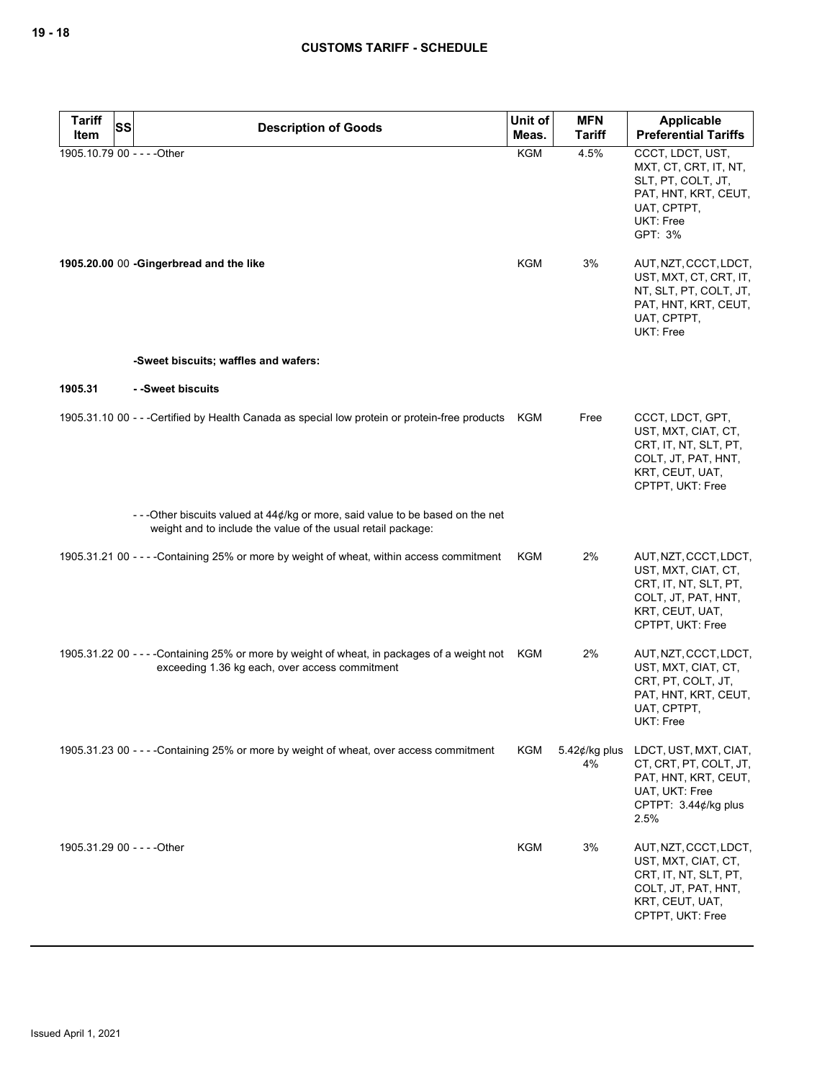| <b>Tariff</b><br><b>SS</b>  | <b>Description of Goods</b>                                                                                                                        | Unit of    | <b>MFN</b>              | Applicable                                                                                                                            |
|-----------------------------|----------------------------------------------------------------------------------------------------------------------------------------------------|------------|-------------------------|---------------------------------------------------------------------------------------------------------------------------------------|
| Item                        |                                                                                                                                                    | Meas.      | <b>Tariff</b>           | <b>Preferential Tariffs</b>                                                                                                           |
| 1905.10.79 00 - - - - Other |                                                                                                                                                    | <b>KGM</b> | 4.5%                    | CCCT, LDCT, UST,<br>MXT, CT, CRT, IT, NT,<br>SLT, PT, COLT, JT,<br>PAT, HNT, KRT, CEUT,<br>UAT, CPTPT,<br><b>UKT: Free</b><br>GPT: 3% |
|                             | 1905.20.00 00 -Gingerbread and the like                                                                                                            | <b>KGM</b> | 3%                      | AUT, NZT, CCCT, LDCT,<br>UST, MXT, CT, CRT, IT,<br>NT, SLT, PT, COLT, JT,<br>PAT, HNT, KRT, CEUT,<br>UAT, CPTPT,<br>UKT: Free         |
|                             | -Sweet biscuits; waffles and wafers:                                                                                                               |            |                         |                                                                                                                                       |
| 1905.31                     | - -Sweet biscuits                                                                                                                                  |            |                         |                                                                                                                                       |
|                             | 1905.31.10 00 - - - Certified by Health Canada as special low protein or protein-free products KGM                                                 |            | Free                    | CCCT, LDCT, GPT,<br>UST, MXT, CIAT, CT,<br>CRT, IT, NT, SLT, PT,<br>COLT, JT, PAT, HNT,<br>KRT, CEUT, UAT,<br>CPTPT, UKT: Free        |
|                             | --Other biscuits valued at $44¢$ /kg or more, said value to be based on the net<br>weight and to include the value of the usual retail package:    |            |                         |                                                                                                                                       |
|                             | 1905.31.21 00 - - - - Containing 25% or more by weight of wheat, within access commitment                                                          | KGM        | 2%                      | AUT, NZT, CCCT, LDCT,<br>UST, MXT, CIAT, CT,<br>CRT, IT, NT, SLT, PT,<br>COLT, JT, PAT, HNT,<br>KRT, CEUT, UAT,<br>CPTPT, UKT: Free   |
|                             | 1905.31.22 00 - - - - Containing 25% or more by weight of wheat, in packages of a weight not KGM<br>exceeding 1.36 kg each, over access commitment |            | 2%                      | AUT, NZT, CCCT, LDCT,<br>UST, MXT, CIAT, CT,<br>CRT, PT, COLT, JT,<br>PAT, HNT, KRT, CEUT,<br>UAT, CPTPT,<br>UKT: Free                |
|                             | 1905.31.23 00 - - - - Containing 25% or more by weight of wheat, over access commitment                                                            | <b>KGM</b> | 5.42 $¢$ /kg plus<br>4% | LDCT, UST, MXT, CIAT,<br>CT, CRT, PT, COLT, JT,<br>PAT, HNT, KRT, CEUT,<br>UAT, UKT: Free<br>CPTPT: 3.44¢/kg plus<br>2.5%             |
| 1905.31.29 00 - - - - Other |                                                                                                                                                    | <b>KGM</b> | 3%                      | AUT, NZT, CCCT, LDCT,<br>UST, MXT, CIAT, CT,<br>CRT, IT, NT, SLT, PT,<br>COLT, JT, PAT, HNT,<br>KRT, CEUT, UAT,<br>CPTPT, UKT: Free   |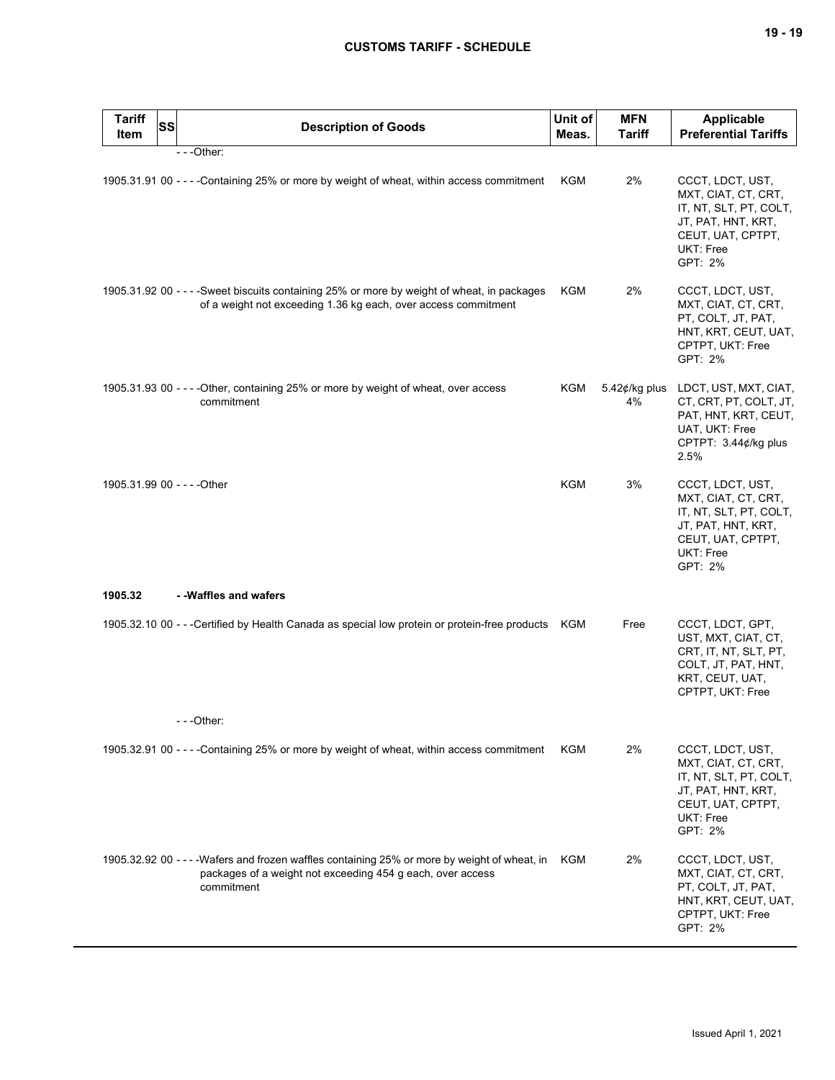| <b>Tariff</b><br>Item | <b>SS</b> | <b>Description of Goods</b>                                                                                                                                               | Unit of<br>Meas. | <b>MFN</b><br><b>Tariff</b> | <b>Applicable</b><br><b>Preferential Tariffs</b>                                                                                     |
|-----------------------|-----------|---------------------------------------------------------------------------------------------------------------------------------------------------------------------------|------------------|-----------------------------|--------------------------------------------------------------------------------------------------------------------------------------|
|                       |           | $- -$ Other:                                                                                                                                                              |                  |                             |                                                                                                                                      |
|                       |           | 1905.31.91 00 - - - - Containing 25% or more by weight of wheat, within access commitment                                                                                 | <b>KGM</b>       | 2%                          | CCCT, LDCT, UST,<br>MXT, CIAT, CT, CRT,<br>IT, NT, SLT, PT, COLT,<br>JT, PAT, HNT, KRT,<br>CEUT, UAT, CPTPT,<br>UKT: Free<br>GPT: 2% |
|                       |           | 1905.31.92 00 - - - -Sweet biscuits containing 25% or more by weight of wheat, in packages<br>of a weight not exceeding 1.36 kg each, over access commitment              | KGM              | 2%                          | CCCT, LDCT, UST,<br>MXT, CIAT, CT, CRT,<br>PT, COLT, JT, PAT,<br>HNT, KRT, CEUT, UAT,<br>CPTPT, UKT: Free<br>GPT: 2%                 |
|                       |           | 1905.31.93 00 - - - - Other, containing 25% or more by weight of wheat, over access<br>commitment                                                                         | KGM              | 5.42¢/kg plus<br>4%         | LDCT, UST, MXT, CIAT,<br>CT, CRT, PT, COLT, JT,<br>PAT, HNT, KRT, CEUT,<br>UAT, UKT: Free<br>CPTPT: 3.44¢/kg plus<br>2.5%            |
|                       |           | 1905.31.99 00 - - - - Other                                                                                                                                               | <b>KGM</b>       | 3%                          | CCCT, LDCT, UST,<br>MXT, CIAT, CT, CRT,<br>IT, NT, SLT, PT, COLT,<br>JT, PAT, HNT, KRT,<br>CEUT, UAT, CPTPT,<br>UKT: Free<br>GPT: 2% |
| 1905.32               |           | - - Waffles and wafers                                                                                                                                                    |                  |                             |                                                                                                                                      |
|                       |           | 1905.32.10 00 - - -Certified by Health Canada as special low protein or protein-free products KGM                                                                         |                  | Free                        | CCCT, LDCT, GPT,<br>UST, MXT, CIAT, CT,<br>CRT, IT, NT, SLT, PT,<br>COLT, JT, PAT, HNT,<br>KRT, CEUT, UAT,<br>CPTPT, UKT: Free       |
|                       |           | $- -$ Other:                                                                                                                                                              |                  |                             |                                                                                                                                      |
|                       |           | 1905.32.91 00 - - - - Containing 25% or more by weight of wheat, within access commitment                                                                                 | KGM              | 2%                          | CCCT, LDCT, UST,<br>MXT, CIAT, CT, CRT,<br>IT, NT, SLT, PT, COLT,<br>JT, PAT, HNT, KRT,<br>CEUT, UAT, CPTPT,<br>UKT: Free<br>GPT: 2% |
|                       |           | 1905.32.92 00 - - - - Wafers and frozen waffles containing 25% or more by weight of wheat, in<br>packages of a weight not exceeding 454 g each, over access<br>commitment | KGM              | 2%                          | CCCT, LDCT, UST,<br>MXT, CIAT, CT, CRT,<br>PT, COLT, JT, PAT,<br>HNT, KRT, CEUT, UAT,<br>CPTPT, UKT: Free<br>GPT: 2%                 |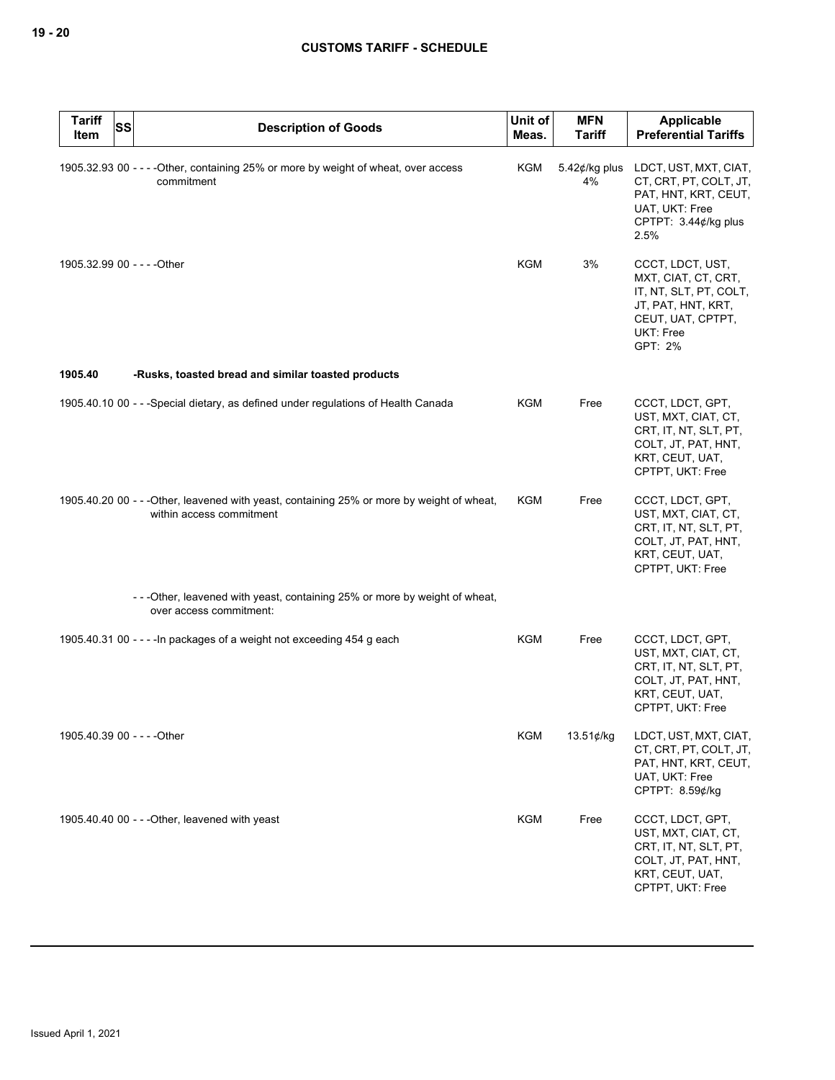| <b>Tariff</b><br>Item       | <b>SS</b> | <b>Description of Goods</b>                                                                                            | Unit of<br>Meas. | <b>MFN</b><br><b>Tariff</b> | Applicable<br><b>Preferential Tariffs</b>                                                                                            |
|-----------------------------|-----------|------------------------------------------------------------------------------------------------------------------------|------------------|-----------------------------|--------------------------------------------------------------------------------------------------------------------------------------|
|                             |           | 1905.32.93 00 - - - - Other, containing 25% or more by weight of wheat, over access<br>commitment                      | <b>KGM</b>       | 5.42 $¢$ /kg plus<br>4%     | LDCT, UST, MXT, CIAT,<br>CT, CRT, PT, COLT, JT,<br>PAT, HNT, KRT, CEUT,<br>UAT, UKT: Free<br>CPTPT: 3.44¢/kg plus<br>2.5%            |
| 1905.32.99 00 - - - - Other |           |                                                                                                                        | KGM              | 3%                          | CCCT, LDCT, UST,<br>MXT, CIAT, CT, CRT,<br>IT, NT, SLT, PT, COLT,<br>JT, PAT, HNT, KRT,<br>CEUT, UAT, CPTPT,<br>UKT: Free<br>GPT: 2% |
| 1905.40                     |           | -Rusks, toasted bread and similar toasted products                                                                     |                  |                             |                                                                                                                                      |
|                             |           | 1905.40.10 00 - - - Special dietary, as defined under regulations of Health Canada                                     | KGM              | Free                        | CCCT, LDCT, GPT,<br>UST, MXT, CIAT, CT,<br>CRT, IT, NT, SLT, PT,<br>COLT, JT, PAT, HNT,<br>KRT, CEUT, UAT,<br>CPTPT, UKT: Free       |
|                             |           | 1905.40.20 00 - - - Other, leavened with yeast, containing 25% or more by weight of wheat,<br>within access commitment | <b>KGM</b>       | Free                        | CCCT, LDCT, GPT,<br>UST, MXT, CIAT, CT,<br>CRT, IT, NT, SLT, PT,<br>COLT, JT, PAT, HNT,<br>KRT, CEUT, UAT,<br>CPTPT, UKT: Free       |
|                             |           | - - - Other, leavened with yeast, containing 25% or more by weight of wheat,<br>over access commitment:                |                  |                             |                                                                                                                                      |
|                             |           | 1905.40.31 00 - - - - In packages of a weight not exceeding 454 g each                                                 | <b>KGM</b>       | Free                        | CCCT, LDCT, GPT,<br>UST, MXT, CIAT, CT,<br>CRT, IT, NT, SLT, PT,<br>COLT, JT, PAT, HNT,<br>KRT, CEUT, UAT,<br>CPTPT, UKT: Free       |
| 1905.40.39 00 - - - - Other |           |                                                                                                                        | <b>KGM</b>       | 13.51¢/kg                   | LDCT, UST, MXT, CIAT,<br>CT, CRT, PT, COLT, JT,<br>PAT, HNT, KRT, CEUT,<br>UAT, UKT: Free<br>CPTPT: 8.59¢/kg                         |
|                             |           | 1905.40.40 00 - - - Other, leavened with yeast                                                                         | <b>KGM</b>       | Free                        | CCCT, LDCT, GPT,<br>UST, MXT, CIAT, CT,<br>CRT, IT, NT, SLT, PT,<br>COLT, JT, PAT, HNT,<br>KRT, CEUT, UAT,<br>CPTPT, UKT: Free       |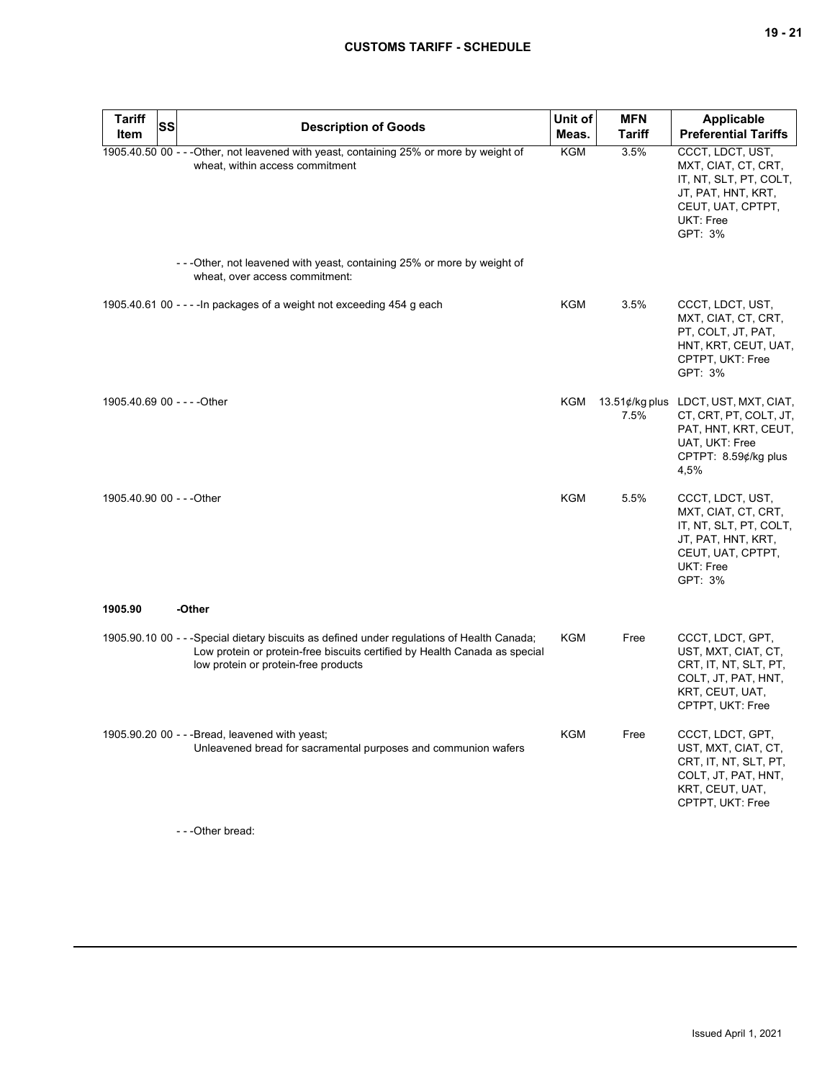| <b>Tariff</b><br><b>Item</b> | <b>SS</b> | <b>Description of Goods</b>                                                                                                                                                                                       | Unit of<br>Meas. | <b>MFN</b><br><b>Tariff</b> | Applicable<br><b>Preferential Tariffs</b>                                                                                                |
|------------------------------|-----------|-------------------------------------------------------------------------------------------------------------------------------------------------------------------------------------------------------------------|------------------|-----------------------------|------------------------------------------------------------------------------------------------------------------------------------------|
|                              |           | 1905.40.50 00 - - - Other, not leavened with yeast, containing 25% or more by weight of<br>wheat, within access commitment                                                                                        | KGM              | 3.5%                        | CCCT, LDCT, UST,<br>MXT, CIAT, CT, CRT,<br>IT, NT, SLT, PT, COLT,<br>JT, PAT, HNT, KRT,<br>CEUT, UAT, CPTPT,<br>UKT: Free<br>GPT: 3%     |
|                              |           | - - - Other, not leavened with yeast, containing 25% or more by weight of<br>wheat, over access commitment:                                                                                                       |                  |                             |                                                                                                                                          |
|                              |           | 1905.40.61 00 - - - - In packages of a weight not exceeding 454 g each                                                                                                                                            | KGM              | 3.5%                        | CCCT, LDCT, UST,<br>MXT, CIAT, CT, CRT,<br>PT, COLT, JT, PAT,<br>HNT, KRT, CEUT, UAT,<br>CPTPT, UKT: Free<br>GPT: 3%                     |
| 1905.40.69 00 - - - - Other  |           |                                                                                                                                                                                                                   | KGM              | 7.5%                        | 13.51¢/kg plus LDCT, UST, MXT, CIAT,<br>CT, CRT, PT, COLT, JT,<br>PAT, HNT, KRT, CEUT,<br>UAT, UKT: Free<br>CPTPT: 8.59¢/kg plus<br>4,5% |
| 1905.40.90 00 - - - Other    |           |                                                                                                                                                                                                                   | <b>KGM</b>       | 5.5%                        | CCCT, LDCT, UST,<br>MXT, CIAT, CT, CRT,<br>IT, NT, SLT, PT, COLT,<br>JT, PAT, HNT, KRT,<br>CEUT, UAT, CPTPT,<br>UKT: Free<br>GPT: 3%     |
| 1905.90                      |           | -Other                                                                                                                                                                                                            |                  |                             |                                                                                                                                          |
|                              |           | 1905.90.10 00 - - - Special dietary biscuits as defined under regulations of Health Canada;<br>Low protein or protein-free biscuits certified by Health Canada as special<br>low protein or protein-free products | KGM              | Free                        | CCCT, LDCT, GPT,<br>UST, MXT, CIAT, CT,<br>CRT, IT, NT, SLT, PT,<br>COLT, JT, PAT, HNT,<br>KRT, CEUT, UAT,<br>CPTPT, UKT: Free           |
|                              |           | 1905.90.20 00 - - - Bread, leavened with yeast;<br>Unleavened bread for sacramental purposes and communion wafers                                                                                                 | KGM              | Free                        | CCCT, LDCT, GPT,<br>UST, MXT, CIAT, CT,<br>CRT, IT, NT, SLT, PT,<br>COLT, JT, PAT, HNT,<br>KRT, CEUT, UAT,<br>CPTPT, UKT: Free           |

- - -Other bread: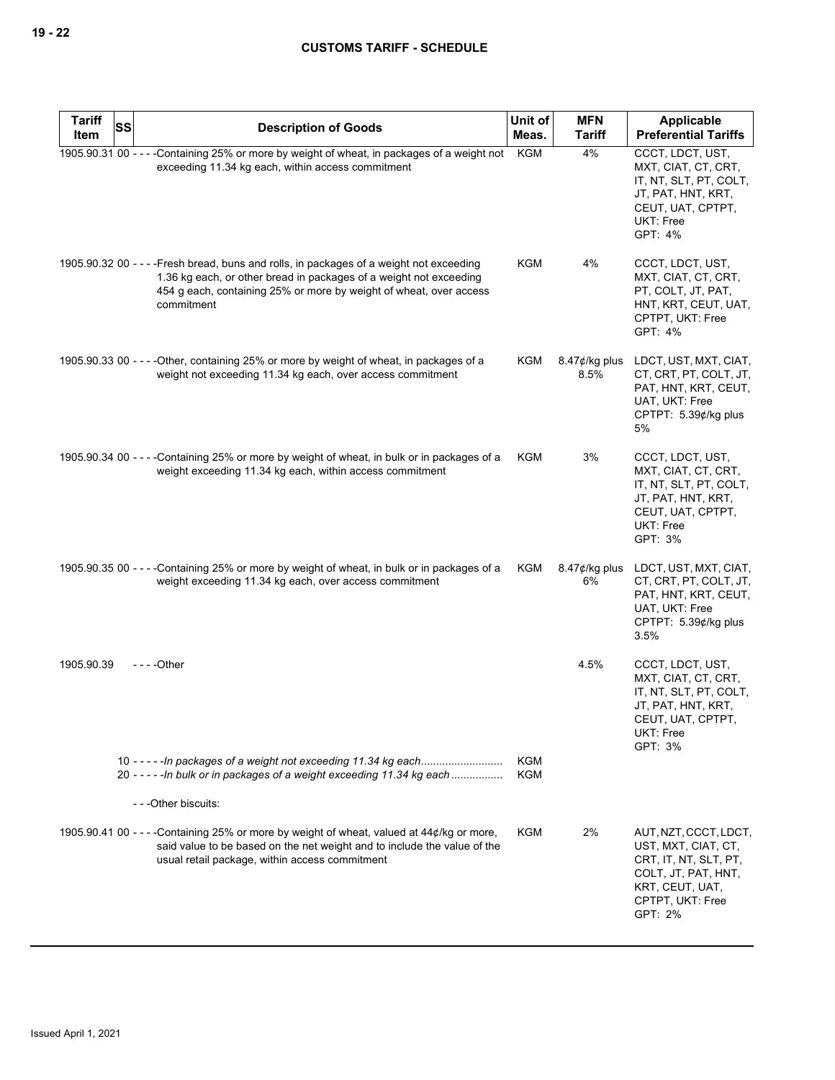| <b>Tariff</b><br>Item | SS | <b>Description of Goods</b>                                                                                                                                                                                                                        | Unit of<br>Meas.  | <b>MFN</b><br><b>Tariff</b> | <b>Applicable</b><br><b>Preferential Tariffs</b>                                                                                               |
|-----------------------|----|----------------------------------------------------------------------------------------------------------------------------------------------------------------------------------------------------------------------------------------------------|-------------------|-----------------------------|------------------------------------------------------------------------------------------------------------------------------------------------|
|                       |    | 1905.90.31 00 - - - -Containing 25% or more by weight of wheat, in packages of a weight not<br>exceeding 11.34 kg each, within access commitment                                                                                                   | KGM               | 4%                          | CCCT, LDCT, UST,<br>MXT, CIAT, CT, CRT,<br>IT, NT, SLT, PT, COLT,<br>JT, PAT, HNT, KRT,<br>CEUT, UAT, CPTPT,<br>UKT: Free<br>GPT: 4%           |
|                       |    | 1905.90.32 00 - - - - Fresh bread, buns and rolls, in packages of a weight not exceeding<br>1.36 kg each, or other bread in packages of a weight not exceeding<br>454 g each, containing 25% or more by weight of wheat, over access<br>commitment | KGM               | 4%                          | CCCT, LDCT, UST,<br>MXT, CIAT, CT, CRT,<br>PT, COLT, JT, PAT,<br>HNT, KRT, CEUT, UAT,<br>CPTPT, UKT: Free<br>GPT: 4%                           |
|                       |    | 1905.90.33 00 - - - - Other, containing 25% or more by weight of wheat, in packages of a<br>weight not exceeding 11.34 kg each, over access commitment                                                                                             | KGM               | $8.47$ ¢/kg plus<br>8.5%    | LDCT, UST, MXT, CIAT,<br>CT, CRT, PT, COLT, JT,<br>PAT, HNT, KRT, CEUT,<br>UAT, UKT: Free<br>CPTPT: 5.39¢/kg plus<br>5%                        |
|                       |    | 1905.90.34 00 - - - - Containing 25% or more by weight of wheat, in bulk or in packages of a<br>weight exceeding 11.34 kg each, within access commitment                                                                                           | KGM               | 3%                          | CCCT, LDCT, UST,<br>MXT, CIAT, CT, CRT,<br>IT, NT, SLT, PT, COLT,<br>JT, PAT, HNT, KRT,<br>CEUT, UAT, CPTPT,<br>UKT: Free<br>GPT: 3%           |
|                       |    | 1905.90.35 00 - - - - Containing 25% or more by weight of wheat, in bulk or in packages of a<br>weight exceeding 11.34 kg each, over access commitment                                                                                             | KGM               | $8.47$ ¢/kg plus<br>6%      | LDCT, UST, MXT, CIAT,<br>CT, CRT, PT, COLT, JT,<br>PAT, HNT, KRT, CEUT,<br>UAT, UKT: Free<br>CPTPT: 5.39¢/kg plus<br>3.5%                      |
| 1905.90.39            |    | - - - - Other                                                                                                                                                                                                                                      |                   | 4.5%                        | CCCT, LDCT, UST,<br>MXT, CIAT, CT, CRT,<br>IT, NT, SLT, PT, COLT,<br>JT, PAT, HNT, KRT,<br>CEUT, UAT, CPTPT,<br>UKT: Free<br>GPT: 3%           |
|                       |    | 20 ----- In bulk or in packages of a weight exceeding 11.34 kg each<br>---Other biscuits:                                                                                                                                                          | KGM<br><b>KGM</b> |                             |                                                                                                                                                |
|                       |    | 1905.90.41 00 - - - -Containing 25% or more by weight of wheat, valued at 44¢/kg or more,<br>said value to be based on the net weight and to include the value of the<br>usual retail package, within access commitment                            | KGM               | 2%                          | AUT, NZT, CCCT, LDCT,<br>UST, MXT, CIAT, CT,<br>CRT, IT, NT, SLT, PT,<br>COLT, JT, PAT, HNT,<br>KRT, CEUT, UAT,<br>CPTPT, UKT: Free<br>GPT: 2% |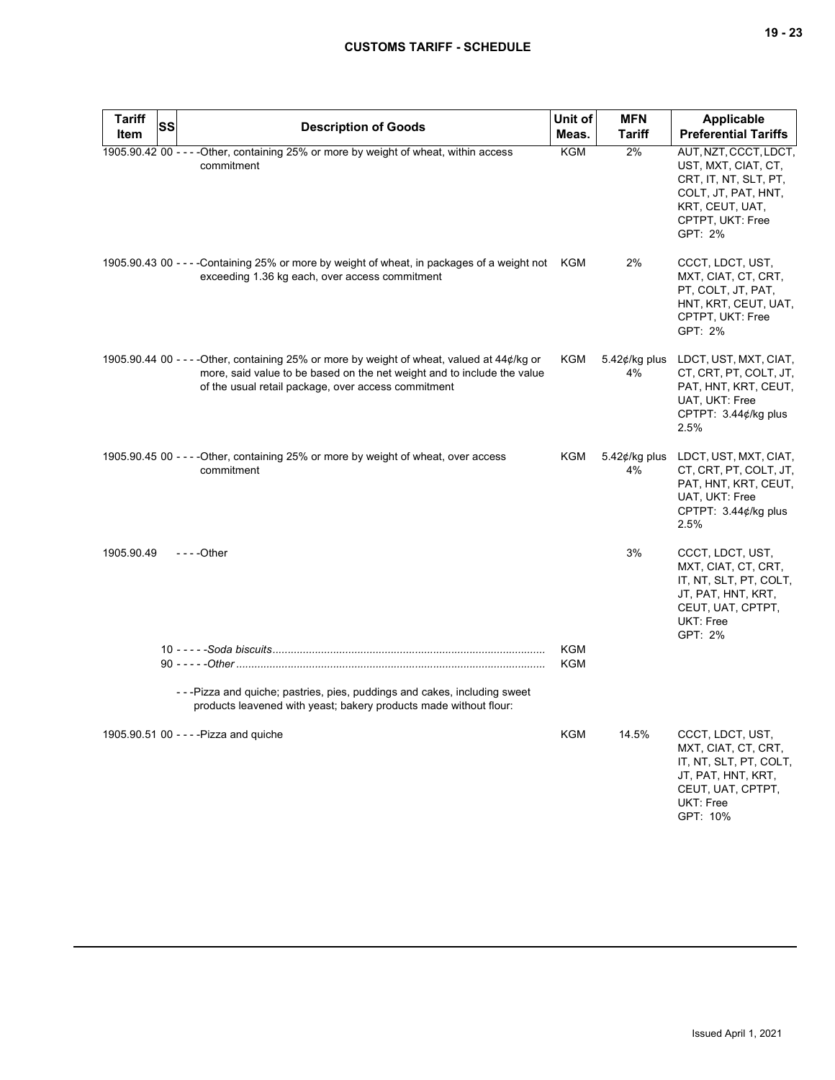| <b>Tariff</b><br>Item | SS | <b>Description of Goods</b>                                                                                                                                                                                                   | Unit of<br>Meas.  | <b>MFN</b><br><b>Tariff</b> | <b>Applicable</b><br><b>Preferential Tariffs</b>                                                                                               |
|-----------------------|----|-------------------------------------------------------------------------------------------------------------------------------------------------------------------------------------------------------------------------------|-------------------|-----------------------------|------------------------------------------------------------------------------------------------------------------------------------------------|
|                       |    | 1905.90.42 00 - - - - Other, containing 25% or more by weight of wheat, within access<br>commitment                                                                                                                           | KGM               | 2%                          | AUT, NZT, CCCT, LDCT,<br>UST, MXT, CIAT, CT,<br>CRT, IT, NT, SLT, PT,<br>COLT, JT, PAT, HNT,<br>KRT, CEUT, UAT,<br>CPTPT, UKT: Free<br>GPT: 2% |
|                       |    | 1905.90.43 00 - - - - Containing 25% or more by weight of wheat, in packages of a weight not KGM<br>exceeding 1.36 kg each, over access commitment                                                                            |                   | 2%                          | CCCT, LDCT, UST,<br>MXT, CIAT, CT, CRT,<br>PT, COLT, JT, PAT,<br>HNT, KRT, CEUT, UAT,<br>CPTPT, UKT: Free<br>GPT: 2%                           |
|                       |    | 1905.90.44 00 - - - - Other, containing 25% or more by weight of wheat, valued at 44¢/kg or<br>more, said value to be based on the net weight and to include the value<br>of the usual retail package, over access commitment | KGM               | 5.42 $¢$ /kg plus<br>4%     | LDCT, UST, MXT, CIAT,<br>CT, CRT, PT, COLT, JT,<br>PAT, HNT, KRT, CEUT,<br>UAT, UKT: Free<br>CPTPT: 3.44¢/kg plus<br>2.5%                      |
|                       |    | 1905.90.45 00 - - - - Other, containing 25% or more by weight of wheat, over access<br>commitment                                                                                                                             | KGM               | $5.42$ ¢/kg plus<br>4%      | LDCT, UST, MXT, CIAT,<br>CT, CRT, PT, COLT, JT,<br>PAT, HNT, KRT, CEUT,<br>UAT, UKT: Free<br>CPTPT: 3.44¢/kg plus<br>2.5%                      |
| 1905.90.49            |    | - - - - Other                                                                                                                                                                                                                 |                   | 3%                          | CCCT, LDCT, UST,<br>MXT, CIAT, CT, CRT,<br>IT, NT, SLT, PT, COLT,<br>JT, PAT, HNT, KRT,<br>CEUT, UAT, CPTPT,<br>UKT: Free<br>GPT: 2%           |
|                       |    |                                                                                                                                                                                                                               | <b>KGM</b><br>KGM |                             |                                                                                                                                                |
|                       |    | - - - Pizza and quiche; pastries, pies, puddings and cakes, including sweet<br>products leavened with yeast; bakery products made without flour:                                                                              |                   |                             |                                                                                                                                                |
|                       |    | 1905.90.51 00 - - - - Pizza and quiche                                                                                                                                                                                        | <b>KGM</b>        | 14.5%                       | CCCT, LDCT, UST,<br>MXT, CIAT, CT, CRT,<br>IT, NT, SLT, PT, COLT,<br>JT, PAT, HNT, KRT,<br>CEUT, UAT, CPTPT,<br>UKT: Free<br>GPT: 10%          |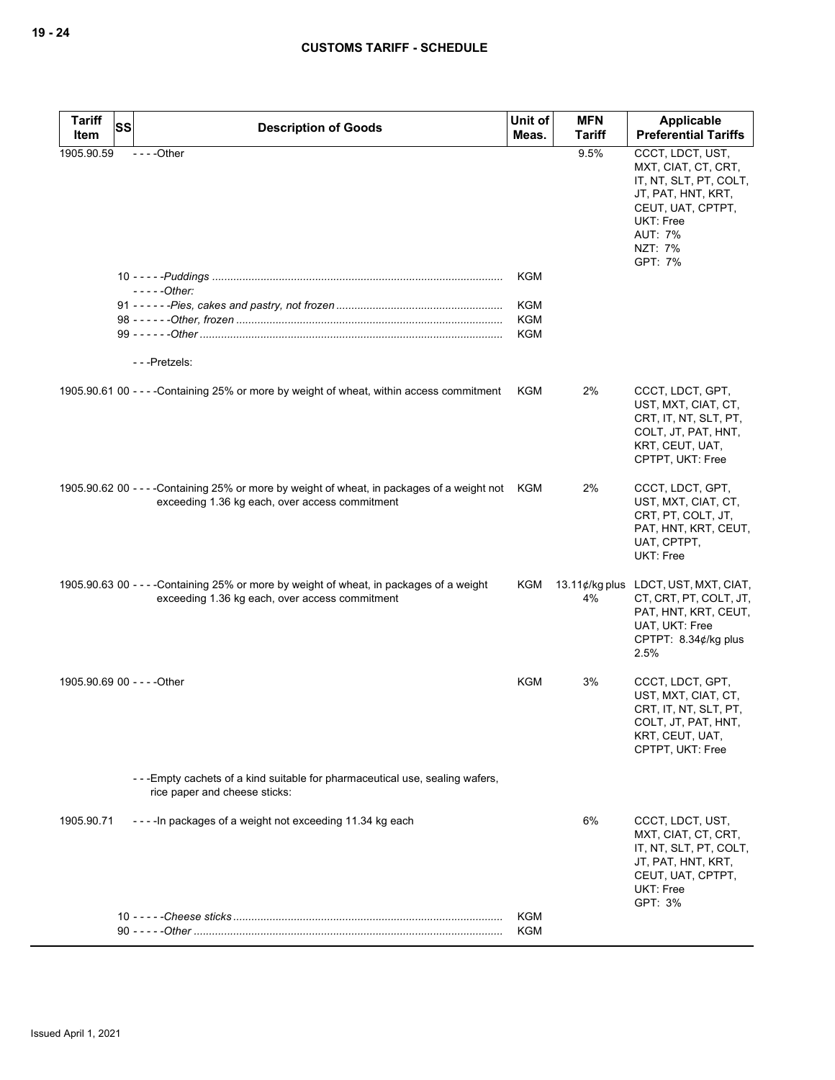| <b>Tariff</b>               | <b>SS</b> | <b>Description of Goods</b>                                                                                                                       | Unit of    | <b>MFN</b>    | <b>Applicable</b>                                                                                                                                                        |
|-----------------------------|-----------|---------------------------------------------------------------------------------------------------------------------------------------------------|------------|---------------|--------------------------------------------------------------------------------------------------------------------------------------------------------------------------|
| Item                        |           |                                                                                                                                                   | Meas.      | <b>Tariff</b> | <b>Preferential Tariffs</b>                                                                                                                                              |
| 1905.90.59                  |           | $--$ Other                                                                                                                                        |            | 9.5%          | CCCT, LDCT, UST,<br>MXT, CIAT, CT, CRT,<br>IT, NT, SLT, PT, COLT,<br>JT, PAT, HNT, KRT,<br>CEUT, UAT, CPTPT,<br><b>UKT: Free</b><br><b>AUT: 7%</b><br>NZT: 7%<br>GPT: 7% |
|                             |           |                                                                                                                                                   | <b>KGM</b> |               |                                                                                                                                                                          |
|                             |           | - - - - - Other:                                                                                                                                  | <b>KGM</b> |               |                                                                                                                                                                          |
|                             |           |                                                                                                                                                   | <b>KGM</b> |               |                                                                                                                                                                          |
|                             |           |                                                                                                                                                   | <b>KGM</b> |               |                                                                                                                                                                          |
|                             |           |                                                                                                                                                   |            |               |                                                                                                                                                                          |
|                             |           | ---Pretzels:                                                                                                                                      |            |               |                                                                                                                                                                          |
|                             |           | 1905.90.61 00 - - - - Containing 25% or more by weight of wheat, within access commitment                                                         | KGM        | 2%            | CCCT, LDCT, GPT,<br>UST, MXT, CIAT, CT,<br>CRT, IT, NT, SLT, PT,<br>COLT, JT, PAT, HNT,<br>KRT, CEUT, UAT,<br>CPTPT, UKT: Free                                           |
|                             |           | 1905.90.62 00 - - - -Containing 25% or more by weight of wheat, in packages of a weight not KGM<br>exceeding 1.36 kg each, over access commitment |            | 2%            | CCCT, LDCT, GPT,<br>UST, MXT, CIAT, CT,<br>CRT, PT, COLT, JT,<br>PAT, HNT, KRT, CEUT,<br>UAT, CPTPT,<br>UKT: Free                                                        |
|                             |           | 1905.90.63 00 - - - - Containing 25% or more by weight of wheat, in packages of a weight<br>exceeding 1.36 kg each, over access commitment        | KGM        | 4%            | 13.11¢/kg plus LDCT, UST, MXT, CIAT,<br>CT, CRT, PT, COLT, JT,<br>PAT, HNT, KRT, CEUT,<br>UAT, UKT: Free<br>CPTPT: $8.34¢$ /kg plus<br>2.5%                              |
| 1905.90.69 00 - - - - Other |           |                                                                                                                                                   | KGM        | 3%            | CCCT, LDCT, GPT,<br>UST, MXT, CIAT, CT,<br>CRT, IT, NT, SLT, PT,<br>COLT, JT, PAT, HNT,<br>KRT, CEUT, UAT,<br>CPTPT, UKT: Free                                           |
|                             |           | - - - Empty cachets of a kind suitable for pharmaceutical use, sealing wafers,<br>rice paper and cheese sticks:                                   |            |               |                                                                                                                                                                          |
| 1905.90.71                  |           | ---- In packages of a weight not exceeding 11.34 kg each                                                                                          |            | 6%            | CCCT, LDCT, UST,<br>MXT, CIAT, CT, CRT,<br>IT, NT, SLT, PT, COLT,<br>JT, PAT, HNT, KRT,<br>CEUT, UAT, CPTPT,<br>UKT: Free<br>GPT: 3%                                     |
|                             |           |                                                                                                                                                   | <b>KGM</b> |               |                                                                                                                                                                          |
|                             |           |                                                                                                                                                   | KGM        |               |                                                                                                                                                                          |